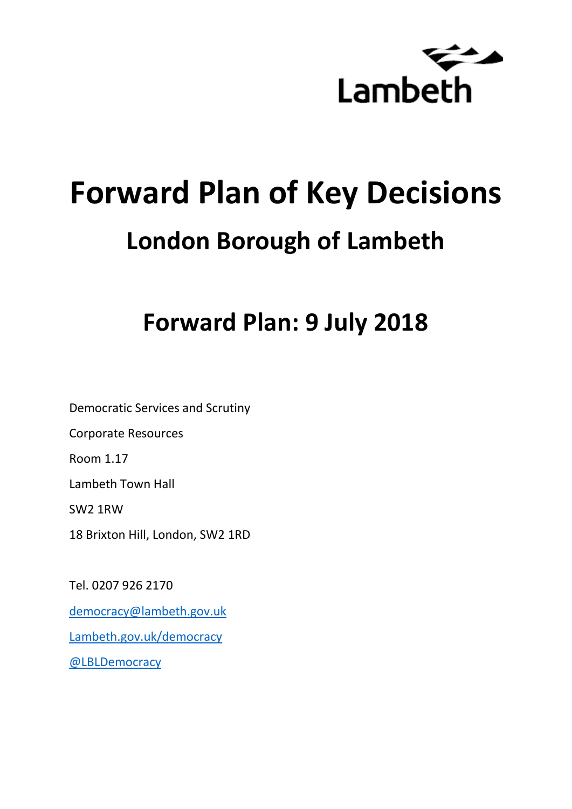

# **Forward Plan of Key Decisions London Borough of Lambeth**

## **Forward Plan: 9 July 2018**

Democratic Services and Scrutiny Corporate Resources Room 1.17 Lambeth Town Hall SW2 1RW 18 Brixton Hill, London, SW2 1RD

Tel. 0207 926 2170 [democracy@lambeth.gov.uk](mailto:democracy@lambeth.gov.uk) [Lambeth.gov.uk/democracy](https://www.lambeth.gov.uk/elections-and-council/meetings-minutes-and-agendas/getting-involved-in-decision-making-guide) [@LBLDemocracy](https://twitter.com/LBLDemocracy?lang=en)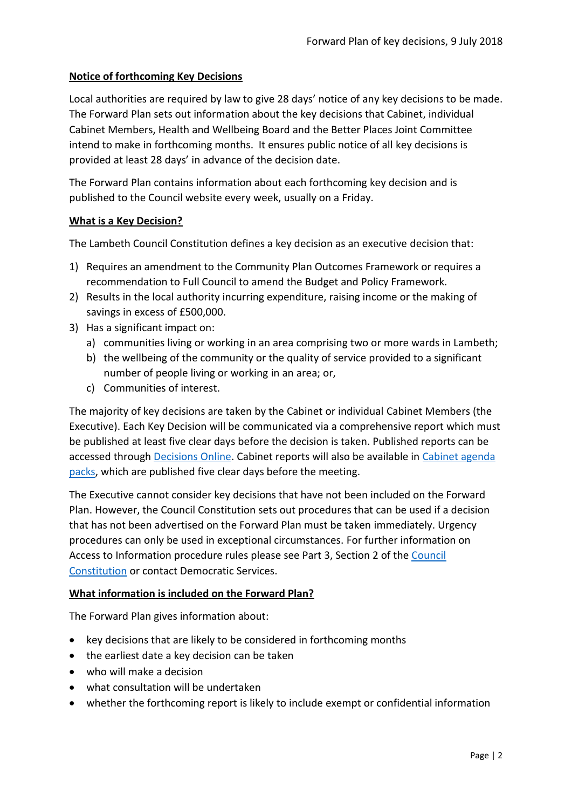#### **Notice of forthcoming Key Decisions**

Local authorities are required by law to give 28 days' notice of any key decisions to be made. The Forward Plan sets out information about the key decisions that Cabinet, individual Cabinet Members, Health and Wellbeing Board and the Better Places Joint Committee intend to make in forthcoming months. It ensures public notice of all key decisions is provided at least 28 days' in advance of the decision date.

The Forward Plan contains information about each forthcoming key decision and is published to the Council website every week, usually on a Friday.

#### **What is a Key Decision?**

The Lambeth Council Constitution defines a key decision as an executive decision that:

- 1) Requires an amendment to the Community Plan Outcomes Framework or requires a recommendation to Full Council to amend the Budget and Policy Framework.
- 2) Results in the local authority incurring expenditure, raising income or the making of savings in excess of £500,000.
- 3) Has a significant impact on:
	- a) communities living or working in an area comprising two or more wards in Lambeth;
	- b) the wellbeing of the community or the quality of service provided to a significant number of people living or working in an area; or,
	- c) Communities of interest.

The majority of key decisions are taken by the Cabinet or individual Cabinet Members (the Executive). Each Key Decision will be communicated via a comprehensive report which must be published at least five clear days before the decision is taken. Published reports can be accessed through [Decisions Online.](http://moderngov.lambeth.gov.uk/mgDelegatedDecisions.aspx?bcr=1&DM=0&DS=2&K=0&DR=&V=0) Cabinet reports will also be available in [Cabinet agenda](https://moderngov.lambeth.gov.uk/ieListMeetings.aspx?CommitteeId=225)  [packs,](https://moderngov.lambeth.gov.uk/ieListMeetings.aspx?CommitteeId=225) which are published five clear days before the meeting.

The Executive cannot consider key decisions that have not been included on the Forward Plan. However, the Council Constitution sets out procedures that can be used if a decision that has not been advertised on the Forward Plan must be taken immediately. Urgency procedures can only be used in exceptional circumstances. For further information on Access to Information procedure rules please see Part 3, Section 2 of the [Council](http://moderngov.lambeth.gov.uk/ieListMeetings.aspx?CId=738&info=1&MD=Constitution)  [Constitution](http://moderngov.lambeth.gov.uk/ieListMeetings.aspx?CId=738&info=1&MD=Constitution) or contact Democratic Services.

#### **What information is included on the Forward Plan?**

The Forward Plan gives information about:

- key decisions that are likely to be considered in forthcoming months
- the earliest date a key decision can be taken
- who will make a decision
- what consultation will be undertaken
- whether the forthcoming report is likely to include exempt or confidential information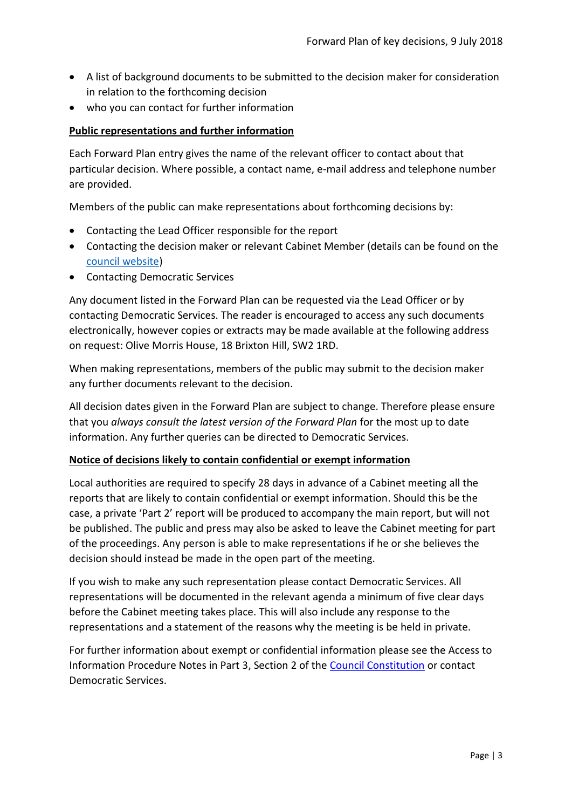- A list of background documents to be submitted to the decision maker for consideration in relation to the forthcoming decision
- who you can contact for further information

#### **Public representations and further information**

Each Forward Plan entry gives the name of the relevant officer to contact about that particular decision. Where possible, a contact name, e-mail address and telephone number are provided.

Members of the public can make representations about forthcoming decisions by:

- Contacting the Lead Officer responsible for the report
- Contacting the decision maker or relevant Cabinet Member (details can be found on the [council website\)](http://moderngov.lambeth.gov.uk/mgMemberIndex.aspx?bcr=1)
- Contacting Democratic Services

Any document listed in the Forward Plan can be requested via the Lead Officer or by contacting Democratic Services. The reader is encouraged to access any such documents electronically, however copies or extracts may be made available at the following address on request: Olive Morris House, 18 Brixton Hill, SW2 1RD.

When making representations, members of the public may submit to the decision maker any further documents relevant to the decision.

All decision dates given in the Forward Plan are subject to change. Therefore please ensure that you *always consult the latest version of the Forward Plan* for the most up to date information. Any further queries can be directed to Democratic Services.

#### **Notice of decisions likely to contain confidential or exempt information**

Local authorities are required to specify 28 days in advance of a Cabinet meeting all the reports that are likely to contain confidential or exempt information. Should this be the case, a private 'Part 2' report will be produced to accompany the main report, but will not be published. The public and press may also be asked to leave the Cabinet meeting for part of the proceedings. Any person is able to make representations if he or she believes the decision should instead be made in the open part of the meeting.

If you wish to make any such representation please contact Democratic Services. All representations will be documented in the relevant agenda a minimum of five clear days before the Cabinet meeting takes place. This will also include any response to the representations and a statement of the reasons why the meeting is be held in private.

For further information about exempt or confidential information please see the Access to Information Procedure Notes in Part 3, Section 2 of the [Council Constitution](http://www.lambeth.gov.uk/sites/default/files/ec-Council-Constitution-2014-15-approved-with-changes-November-2014.pdf) or contact Democratic Services.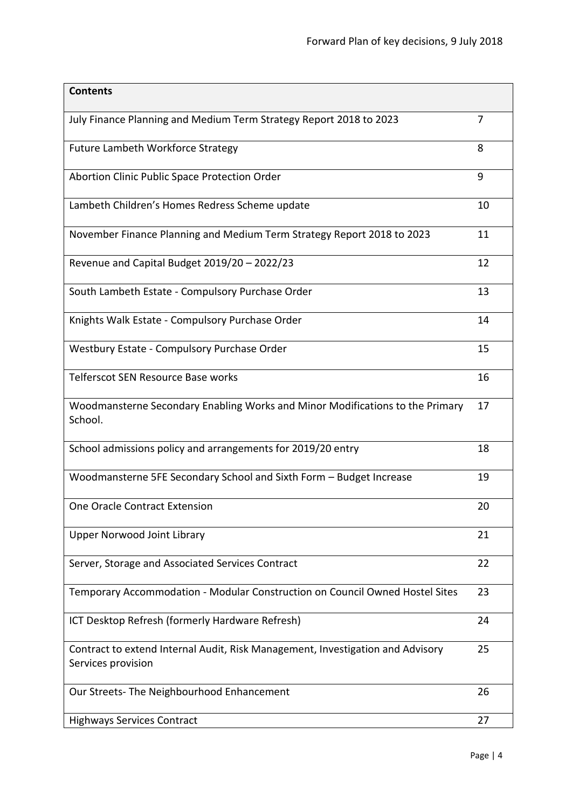| <b>Contents</b>                                                                                      |    |
|------------------------------------------------------------------------------------------------------|----|
| July Finance Planning and Medium Term Strategy Report 2018 to 2023                                   | 7  |
| <b>Future Lambeth Workforce Strategy</b>                                                             | 8  |
| Abortion Clinic Public Space Protection Order                                                        | 9  |
| Lambeth Children's Homes Redress Scheme update                                                       | 10 |
| November Finance Planning and Medium Term Strategy Report 2018 to 2023                               | 11 |
| Revenue and Capital Budget 2019/20 - 2022/23                                                         | 12 |
| South Lambeth Estate - Compulsory Purchase Order                                                     | 13 |
| Knights Walk Estate - Compulsory Purchase Order                                                      | 14 |
| Westbury Estate - Compulsory Purchase Order                                                          | 15 |
| Telferscot SEN Resource Base works                                                                   | 16 |
| Woodmansterne Secondary Enabling Works and Minor Modifications to the Primary<br>School.             | 17 |
| School admissions policy and arrangements for 2019/20 entry                                          | 18 |
| Woodmansterne 5FE Secondary School and Sixth Form - Budget Increase                                  | 19 |
| One Oracle Contract Extension                                                                        | 20 |
| <b>Upper Norwood Joint Library</b>                                                                   | 21 |
| Server, Storage and Associated Services Contract                                                     | 22 |
| Temporary Accommodation - Modular Construction on Council Owned Hostel Sites                         | 23 |
| ICT Desktop Refresh (formerly Hardware Refresh)                                                      | 24 |
| Contract to extend Internal Audit, Risk Management, Investigation and Advisory<br>Services provision | 25 |
| Our Streets- The Neighbourhood Enhancement                                                           | 26 |
| <b>Highways Services Contract</b>                                                                    | 27 |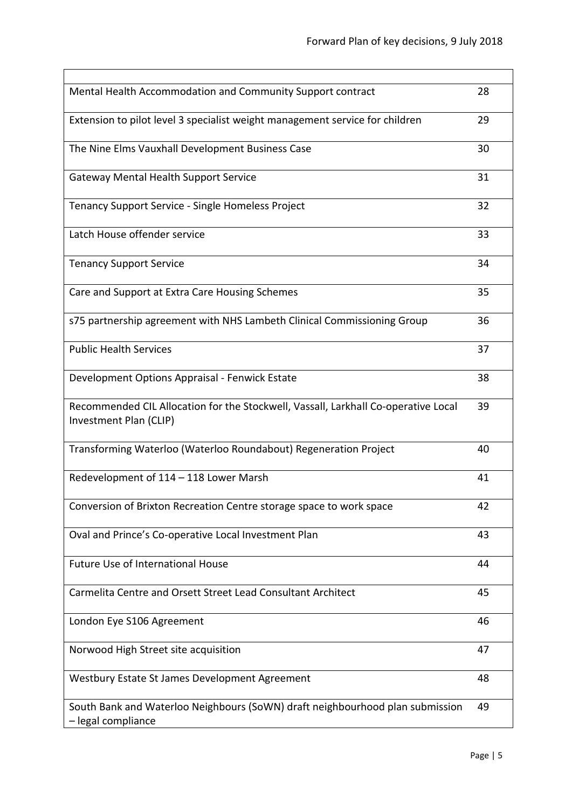| Mental Health Accommodation and Community Support contract                                                   | 28 |
|--------------------------------------------------------------------------------------------------------------|----|
| Extension to pilot level 3 specialist weight management service for children                                 | 29 |
| The Nine Elms Vauxhall Development Business Case                                                             | 30 |
| <b>Gateway Mental Health Support Service</b>                                                                 | 31 |
| Tenancy Support Service - Single Homeless Project                                                            | 32 |
| Latch House offender service                                                                                 | 33 |
| <b>Tenancy Support Service</b>                                                                               | 34 |
| Care and Support at Extra Care Housing Schemes                                                               | 35 |
| s75 partnership agreement with NHS Lambeth Clinical Commissioning Group                                      | 36 |
| <b>Public Health Services</b>                                                                                | 37 |
| Development Options Appraisal - Fenwick Estate                                                               | 38 |
| Recommended CIL Allocation for the Stockwell, Vassall, Larkhall Co-operative Local<br>Investment Plan (CLIP) | 39 |
| Transforming Waterloo (Waterloo Roundabout) Regeneration Project                                             | 40 |
| Redevelopment of 114 - 118 Lower Marsh                                                                       | 41 |
| Conversion of Brixton Recreation Centre storage space to work space                                          | 42 |
| Oval and Prince's Co-operative Local Investment Plan                                                         | 43 |
| Future Use of International House                                                                            | 44 |
| Carmelita Centre and Orsett Street Lead Consultant Architect                                                 | 45 |
| London Eye S106 Agreement                                                                                    | 46 |
| Norwood High Street site acquisition                                                                         | 47 |
| Westbury Estate St James Development Agreement                                                               | 48 |
| South Bank and Waterloo Neighbours (SoWN) draft neighbourhood plan submission<br>- legal compliance          | 49 |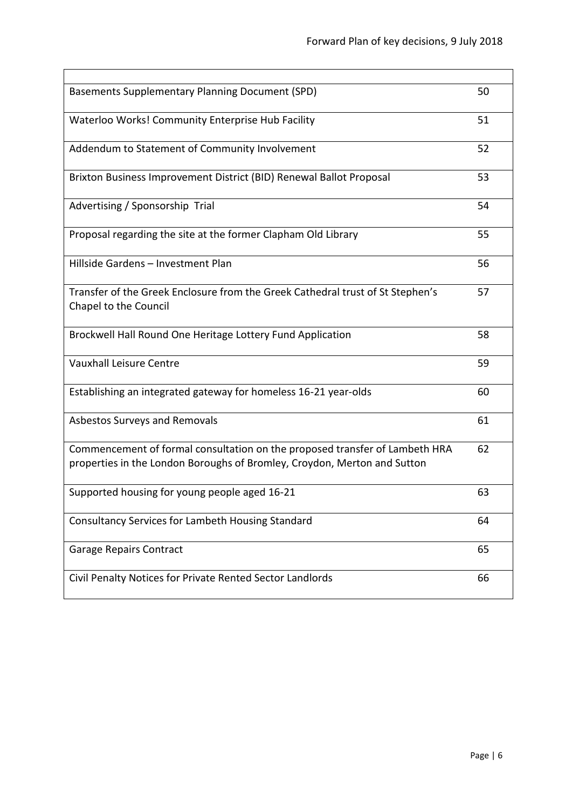| Basements Supplementary Planning Document (SPD)                                                                                                         | 50 |
|---------------------------------------------------------------------------------------------------------------------------------------------------------|----|
|                                                                                                                                                         |    |
| Waterloo Works! Community Enterprise Hub Facility                                                                                                       | 51 |
| Addendum to Statement of Community Involvement                                                                                                          | 52 |
| Brixton Business Improvement District (BID) Renewal Ballot Proposal                                                                                     | 53 |
| Advertising / Sponsorship Trial                                                                                                                         | 54 |
| Proposal regarding the site at the former Clapham Old Library                                                                                           | 55 |
| Hillside Gardens - Investment Plan                                                                                                                      | 56 |
| Transfer of the Greek Enclosure from the Greek Cathedral trust of St Stephen's<br>Chapel to the Council                                                 | 57 |
| Brockwell Hall Round One Heritage Lottery Fund Application                                                                                              | 58 |
| <b>Vauxhall Leisure Centre</b>                                                                                                                          | 59 |
| Establishing an integrated gateway for homeless 16-21 year-olds                                                                                         | 60 |
| Asbestos Surveys and Removals                                                                                                                           | 61 |
| Commencement of formal consultation on the proposed transfer of Lambeth HRA<br>properties in the London Boroughs of Bromley, Croydon, Merton and Sutton | 62 |
| Supported housing for young people aged 16-21                                                                                                           | 63 |
| Consultancy Services for Lambeth Housing Standard                                                                                                       | 64 |
| <b>Garage Repairs Contract</b>                                                                                                                          | 65 |
| Civil Penalty Notices for Private Rented Sector Landlords                                                                                               | 66 |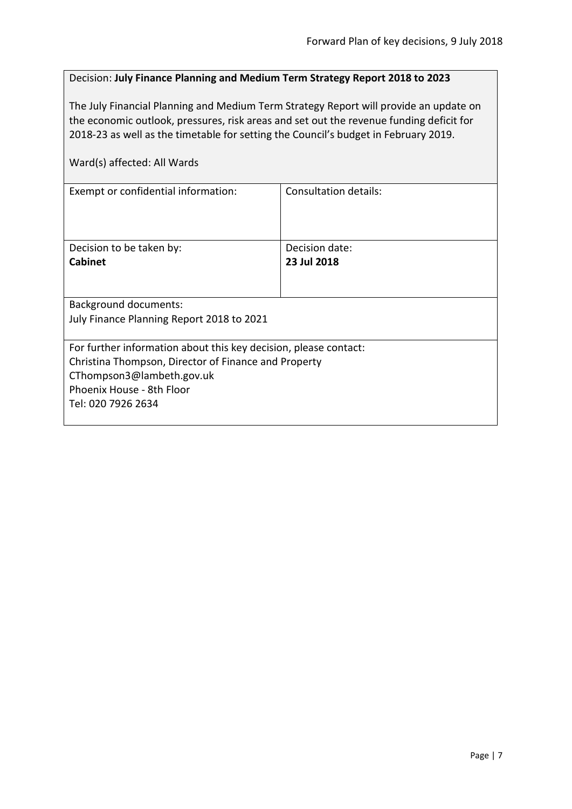#### <span id="page-6-0"></span>Decision: **July Finance Planning and Medium Term Strategy Report 2018 to 2023**

The July Financial Planning and Medium Term Strategy Report will provide an update on the economic outlook, pressures, risk areas and set out the revenue funding deficit for 2018-23 as well as the timetable for setting the Council's budget in February 2019.

| Consultation details:                                            |  |  |
|------------------------------------------------------------------|--|--|
|                                                                  |  |  |
|                                                                  |  |  |
|                                                                  |  |  |
| Decision date:                                                   |  |  |
| 23 Jul 2018                                                      |  |  |
|                                                                  |  |  |
|                                                                  |  |  |
|                                                                  |  |  |
| July Finance Planning Report 2018 to 2021                        |  |  |
|                                                                  |  |  |
| For further information about this key decision, please contact: |  |  |
| Christina Thompson, Director of Finance and Property             |  |  |
| CThompson3@lambeth.gov.uk                                        |  |  |
|                                                                  |  |  |
|                                                                  |  |  |
|                                                                  |  |  |
|                                                                  |  |  |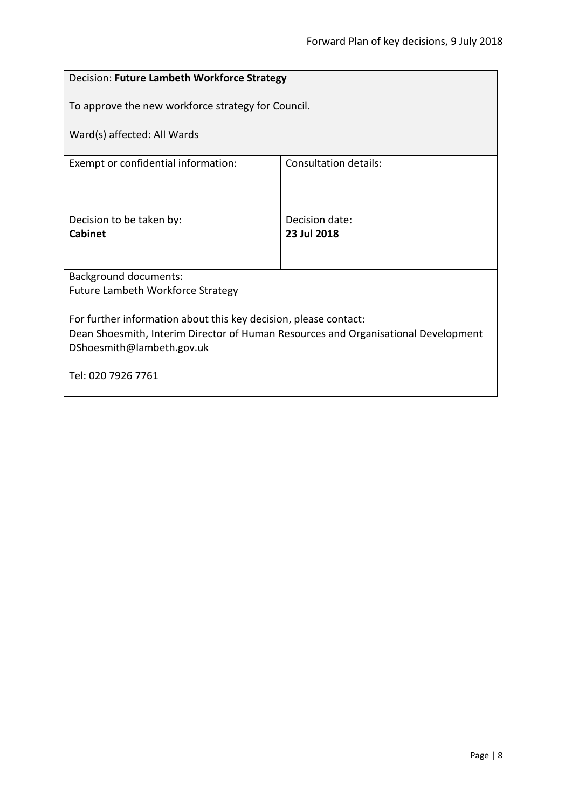### <span id="page-7-0"></span>Decision: **Future Lambeth Workforce Strategy** To approve the new workforce strategy for Council. Ward(s) affected: All Wards Exempt or confidential information: Consultation details: Decision to be taken by: **Cabinet** Decision date: **23 Jul 2018** Background documents: Future Lambeth Workforce Strategy For further information about this key decision, please contact: Dean Shoesmith, Interim Director of Human Resources and Organisational Development DShoesmith@lambeth.gov.uk Tel: 020 7926 7761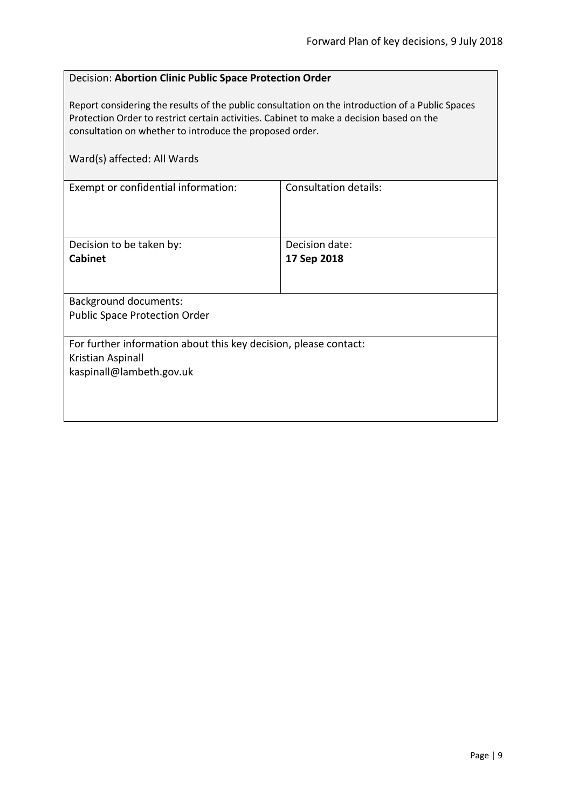#### <span id="page-8-0"></span>Decision: **Abortion Clinic Public Space Protection Order**

Report considering the results of the public consultation on the introduction of a Public Spaces Protection Order to restrict certain activities. Cabinet to make a decision based on the consultation on whether to introduce the proposed order.

| Ward(s) affected: All Wards                                      |                              |
|------------------------------------------------------------------|------------------------------|
| Exempt or confidential information:                              | <b>Consultation details:</b> |
| Decision to be taken by:                                         | Decision date:               |
| <b>Cabinet</b>                                                   | 17 Sep 2018                  |
| <b>Background documents:</b>                                     |                              |
| <b>Public Space Protection Order</b>                             |                              |
| For further information about this key decision, please contact: |                              |
| Kristian Aspinall                                                |                              |
| kaspinall@lambeth.gov.uk                                         |                              |
|                                                                  |                              |
|                                                                  |                              |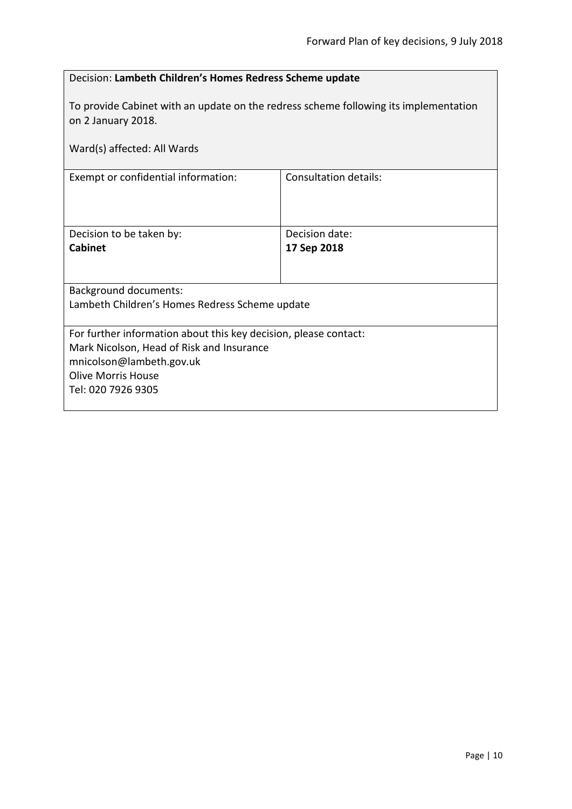<span id="page-9-0"></span>

| Decision: Lambeth Children's Homes Redress Scheme update                                                                                                                                     |                               |  |
|----------------------------------------------------------------------------------------------------------------------------------------------------------------------------------------------|-------------------------------|--|
| To provide Cabinet with an update on the redress scheme following its implementation<br>on 2 January 2018.                                                                                   |                               |  |
| Ward(s) affected: All Wards                                                                                                                                                                  |                               |  |
| Exempt or confidential information:                                                                                                                                                          | <b>Consultation details:</b>  |  |
| Decision to be taken by:<br>Cabinet                                                                                                                                                          | Decision date:<br>17 Sep 2018 |  |
| <b>Background documents:</b><br>Lambeth Children's Homes Redress Scheme update                                                                                                               |                               |  |
| For further information about this key decision, please contact:<br>Mark Nicolson, Head of Risk and Insurance<br>mnicolson@lambeth.gov.uk<br><b>Olive Morris House</b><br>Tel: 020 7926 9305 |                               |  |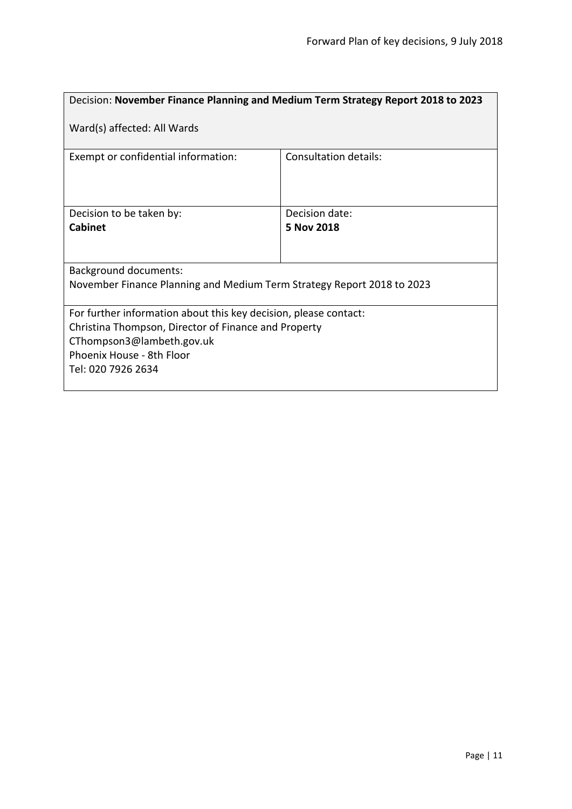<span id="page-10-0"></span>

| Decision: November Finance Planning and Medium Term Strategy Report 2018 to 2023 |                              |  |
|----------------------------------------------------------------------------------|------------------------------|--|
| Ward(s) affected: All Wards                                                      |                              |  |
| Exempt or confidential information:                                              | <b>Consultation details:</b> |  |
| Decision to be taken by:                                                         | Decision date:               |  |
| <b>Cabinet</b>                                                                   | 5 Nov 2018                   |  |
| Background documents:                                                            |                              |  |
| November Finance Planning and Medium Term Strategy Report 2018 to 2023           |                              |  |
| For further information about this key decision, please contact:                 |                              |  |
| Christina Thompson, Director of Finance and Property                             |                              |  |
| CThompson3@lambeth.gov.uk<br>Phoenix House - 8th Floor                           |                              |  |
| Tel: 020 7926 2634                                                               |                              |  |
|                                                                                  |                              |  |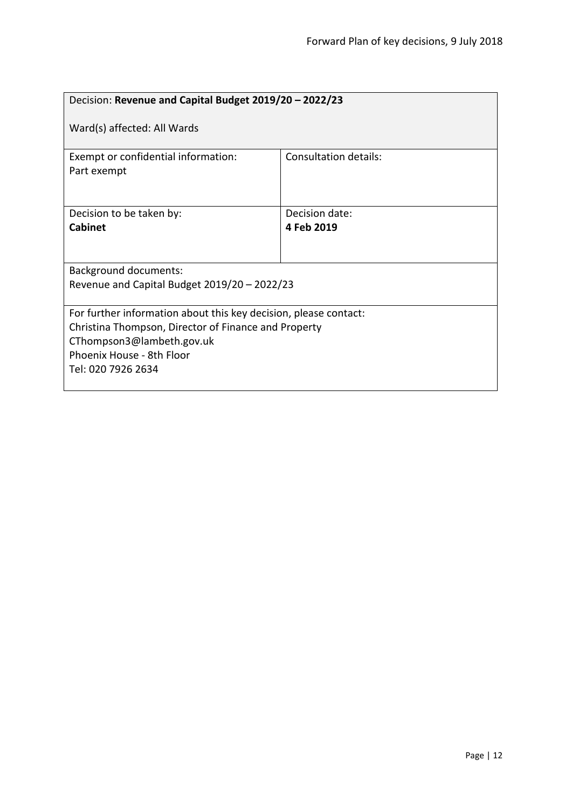<span id="page-11-0"></span>

| Decision: Revenue and Capital Budget 2019/20 - 2022/23                                                                                                                                                   |                              |  |
|----------------------------------------------------------------------------------------------------------------------------------------------------------------------------------------------------------|------------------------------|--|
| Ward(s) affected: All Wards                                                                                                                                                                              |                              |  |
| Exempt or confidential information:<br>Part exempt                                                                                                                                                       | Consultation details:        |  |
| Decision to be taken by:<br><b>Cabinet</b>                                                                                                                                                               | Decision date:<br>4 Feb 2019 |  |
| <b>Background documents:</b><br>Revenue and Capital Budget 2019/20 - 2022/23                                                                                                                             |                              |  |
| For further information about this key decision, please contact:<br>Christina Thompson, Director of Finance and Property<br>CThompson3@lambeth.gov.uk<br>Phoenix House - 8th Floor<br>Tel: 020 7926 2634 |                              |  |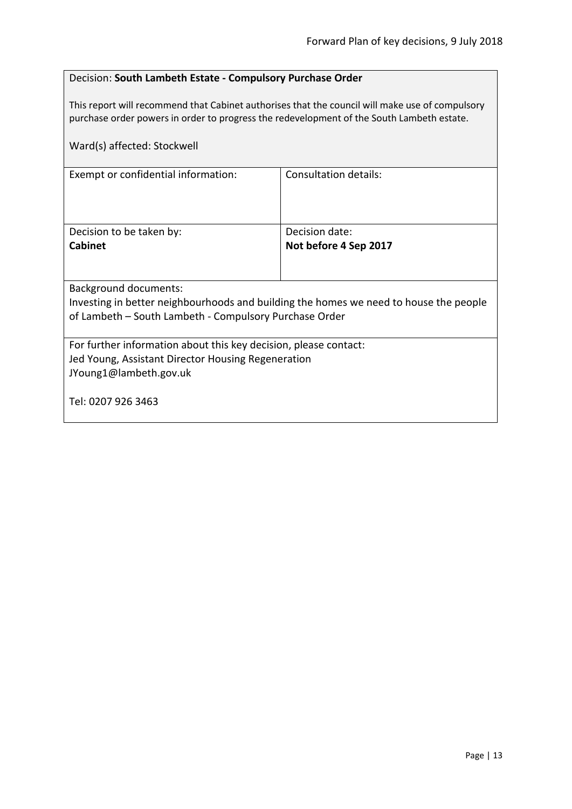#### <span id="page-12-0"></span>Decision: **South Lambeth Estate - Compulsory Purchase Order**

This report will recommend that Cabinet authorises that the council will make use of compulsory purchase order powers in order to progress the redevelopment of the South Lambeth estate.

| Ward(s) affected: Stockwell                                                                                                                                              |                       |  |
|--------------------------------------------------------------------------------------------------------------------------------------------------------------------------|-----------------------|--|
| Exempt or confidential information:                                                                                                                                      | Consultation details: |  |
| Decision to be taken by:                                                                                                                                                 | Decision date:        |  |
| Cabinet                                                                                                                                                                  | Not before 4 Sep 2017 |  |
| Background documents:<br>Investing in better neighbourhoods and building the homes we need to house the people<br>of Lambeth – South Lambeth - Compulsory Purchase Order |                       |  |
|                                                                                                                                                                          |                       |  |
| For further information about this key decision, please contact:<br>Jed Young, Assistant Director Housing Regeneration<br>JYoung1@lambeth.gov.uk                         |                       |  |
| Tel: 0207 926 3463                                                                                                                                                       |                       |  |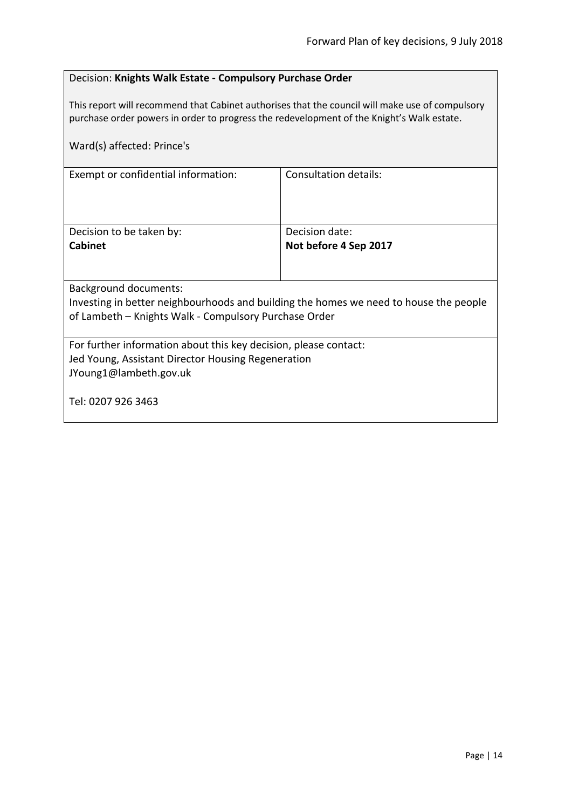#### <span id="page-13-0"></span>Decision: **Knights Walk Estate - Compulsory Purchase Order**

This report will recommend that Cabinet authorises that the council will make use of compulsory purchase order powers in order to progress the redevelopment of the Knight's Walk estate.

| Ward(s) affected: Prince's                                                            |                              |  |
|---------------------------------------------------------------------------------------|------------------------------|--|
| Exempt or confidential information:                                                   | <b>Consultation details:</b> |  |
| Decision to be taken by:                                                              | Decision date:               |  |
| <b>Cabinet</b>                                                                        | Not before 4 Sep 2017        |  |
|                                                                                       |                              |  |
| <b>Background documents:</b>                                                          |                              |  |
| Investing in better neighbourhoods and building the homes we need to house the people |                              |  |
| of Lambeth - Knights Walk - Compulsory Purchase Order                                 |                              |  |
| For further information about this key decision, please contact:                      |                              |  |
| Jed Young, Assistant Director Housing Regeneration                                    |                              |  |
| JYoung1@lambeth.gov.uk                                                                |                              |  |
| Tel: 0207 926 3463                                                                    |                              |  |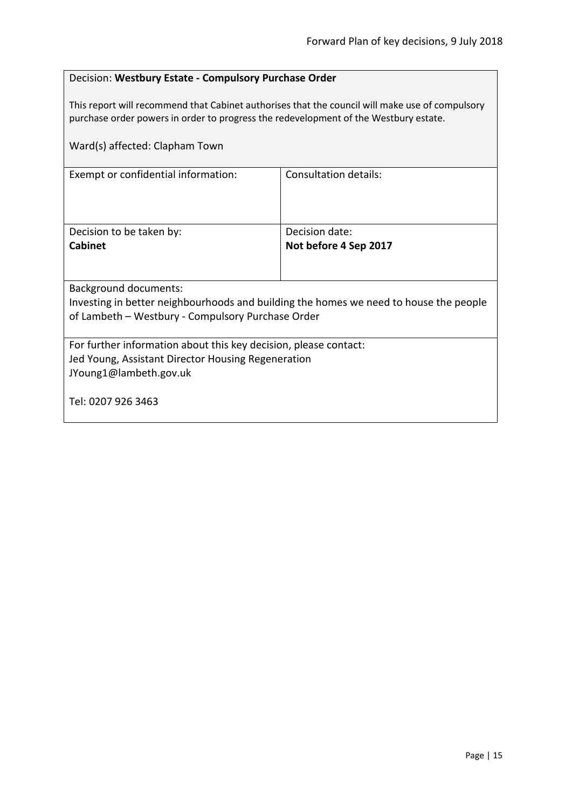#### <span id="page-14-0"></span>Decision: **Westbury Estate - Compulsory Purchase Order**

This report will recommend that Cabinet authorises that the council will make use of compulsory purchase order powers in order to progress the redevelopment of the Westbury estate.

| Ward(s) affected: Clapham Town                                                                                                             |                       |  |
|--------------------------------------------------------------------------------------------------------------------------------------------|-----------------------|--|
| Exempt or confidential information:                                                                                                        | Consultation details: |  |
| Decision to be taken by:                                                                                                                   | Decision date:        |  |
| <b>Cabinet</b>                                                                                                                             | Not before 4 Sep 2017 |  |
|                                                                                                                                            |                       |  |
| <b>Background documents:</b>                                                                                                               |                       |  |
| Investing in better neighbourhoods and building the homes we need to house the people<br>of Lambeth - Westbury - Compulsory Purchase Order |                       |  |
|                                                                                                                                            |                       |  |
| For further information about this key decision, please contact:                                                                           |                       |  |
| Jed Young, Assistant Director Housing Regeneration                                                                                         |                       |  |
| JYoung1@lambeth.gov.uk                                                                                                                     |                       |  |
| Tel: 0207 926 3463                                                                                                                         |                       |  |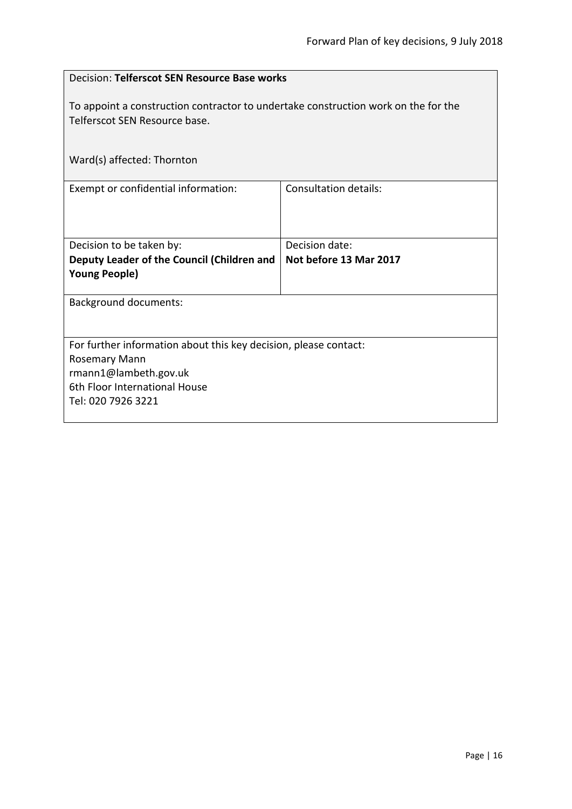<span id="page-15-0"></span>

| Decision: Telferscot SEN Resource Base works                                                                        |                              |  |
|---------------------------------------------------------------------------------------------------------------------|------------------------------|--|
| To appoint a construction contractor to undertake construction work on the for the<br>Telferscot SEN Resource base. |                              |  |
| Ward(s) affected: Thornton                                                                                          |                              |  |
| Exempt or confidential information:                                                                                 | <b>Consultation details:</b> |  |
| Decision to be taken by:                                                                                            | Decision date:               |  |
| Deputy Leader of the Council (Children and<br><b>Young People)</b>                                                  | Not before 13 Mar 2017       |  |
| <b>Background documents:</b>                                                                                        |                              |  |
| For further information about this key decision, please contact:                                                    |                              |  |
| Rosemary Mann                                                                                                       |                              |  |
| rmann1@lambeth.gov.uk                                                                                               |                              |  |
| 6th Floor International House                                                                                       |                              |  |
| Tel: 020 7926 3221                                                                                                  |                              |  |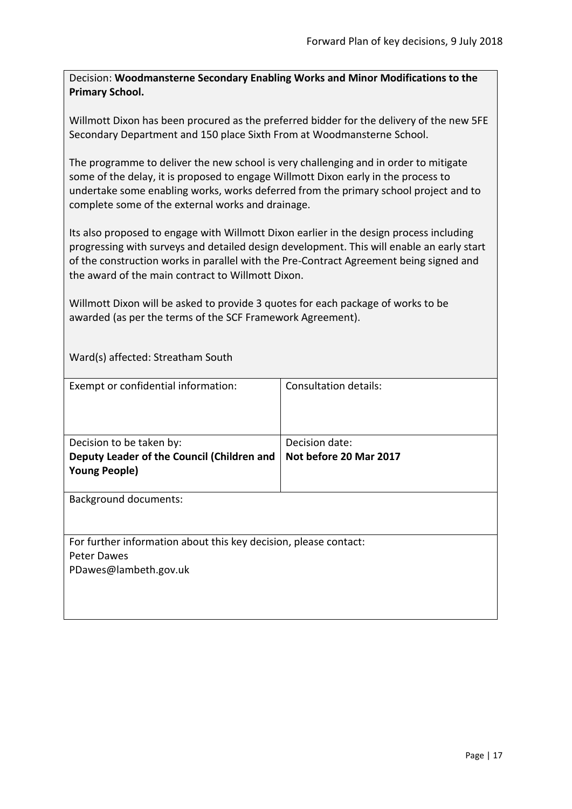<span id="page-16-0"></span>Decision: **Woodmansterne Secondary Enabling Works and Minor Modifications to the Primary School.**

Willmott Dixon has been procured as the preferred bidder for the delivery of the new 5FE Secondary Department and 150 place Sixth From at Woodmansterne School.

The programme to deliver the new school is very challenging and in order to mitigate some of the delay, it is proposed to engage Willmott Dixon early in the process to undertake some enabling works, works deferred from the primary school project and to complete some of the external works and drainage.

Its also proposed to engage with Willmott Dixon earlier in the design process including progressing with surveys and detailed design development. This will enable an early start of the construction works in parallel with the Pre-Contract Agreement being signed and the award of the main contract to Willmott Dixon.

Willmott Dixon will be asked to provide 3 quotes for each package of works to be awarded (as per the terms of the SCF Framework Agreement).

Ward(s) affected: Streatham South

| Exempt or confidential information:                              | <b>Consultation details:</b> |
|------------------------------------------------------------------|------------------------------|
|                                                                  |                              |
| Decision to be taken by:                                         | Decision date:               |
| Deputy Leader of the Council (Children and                       | Not before 20 Mar 2017       |
| <b>Young People)</b>                                             |                              |
|                                                                  |                              |
| <b>Background documents:</b>                                     |                              |
| For further information about this key decision, please contact: |                              |
| Peter Dawes                                                      |                              |
| PDawes@lambeth.gov.uk                                            |                              |
|                                                                  |                              |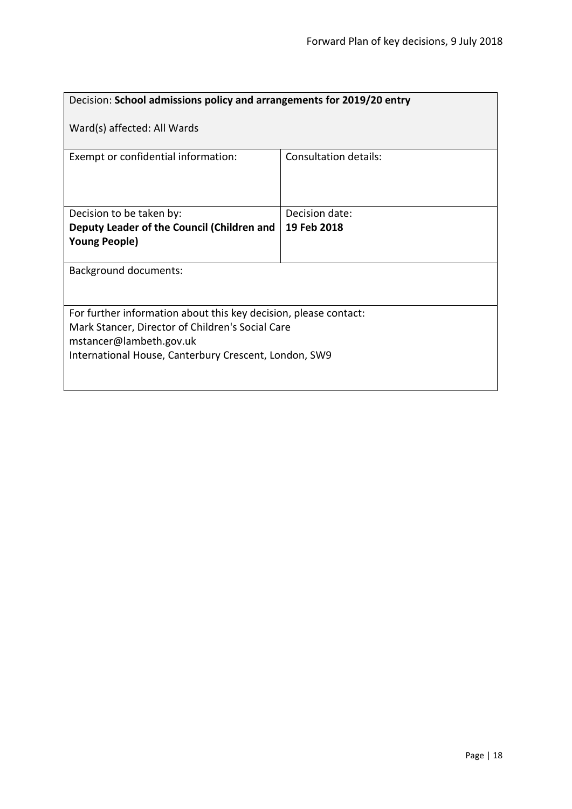<span id="page-17-0"></span>

| Decision: School admissions policy and arrangements for 2019/20 entry                                                                           |                              |  |
|-------------------------------------------------------------------------------------------------------------------------------------------------|------------------------------|--|
| Ward(s) affected: All Wards                                                                                                                     |                              |  |
| Exempt or confidential information:                                                                                                             | <b>Consultation details:</b> |  |
| Decision to be taken by:                                                                                                                        | Decision date:               |  |
| Deputy Leader of the Council (Children and                                                                                                      | 19 Feb 2018                  |  |
| <b>Young People)</b>                                                                                                                            |                              |  |
| <b>Background documents:</b>                                                                                                                    |                              |  |
| For further information about this key decision, please contact:<br>Mark Stancer, Director of Children's Social Care<br>mstancer@lambeth.gov.uk |                              |  |
| International House, Canterbury Crescent, London, SW9                                                                                           |                              |  |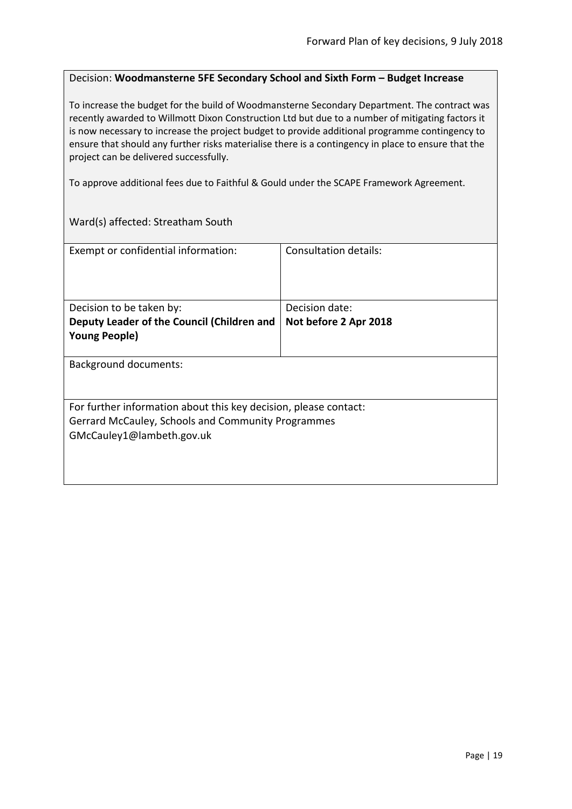#### <span id="page-18-0"></span>Decision: **Woodmansterne 5FE Secondary School and Sixth Form – Budget Increase**

To increase the budget for the build of Woodmansterne Secondary Department. The contract was recently awarded to Willmott Dixon Construction Ltd but due to a number of mitigating factors it is now necessary to increase the project budget to provide additional programme contingency to ensure that should any further risks materialise there is a contingency in place to ensure that the project can be delivered successfully.

To approve additional fees due to Faithful & Gould under the SCAPE Framework Agreement.

Ward(s) affected: Streatham South

| Exempt or confidential information:                              | Consultation details: |
|------------------------------------------------------------------|-----------------------|
|                                                                  |                       |
| Decision to be taken by:                                         | Decision date:        |
| Deputy Leader of the Council (Children and                       | Not before 2 Apr 2018 |
| <b>Young People)</b>                                             |                       |
| Background documents:                                            |                       |
| For further information about this key decision, please contact: |                       |
| Gerrard McCauley, Schools and Community Programmes               |                       |
| GMcCauley1@lambeth.gov.uk                                        |                       |
|                                                                  |                       |
|                                                                  |                       |
|                                                                  |                       |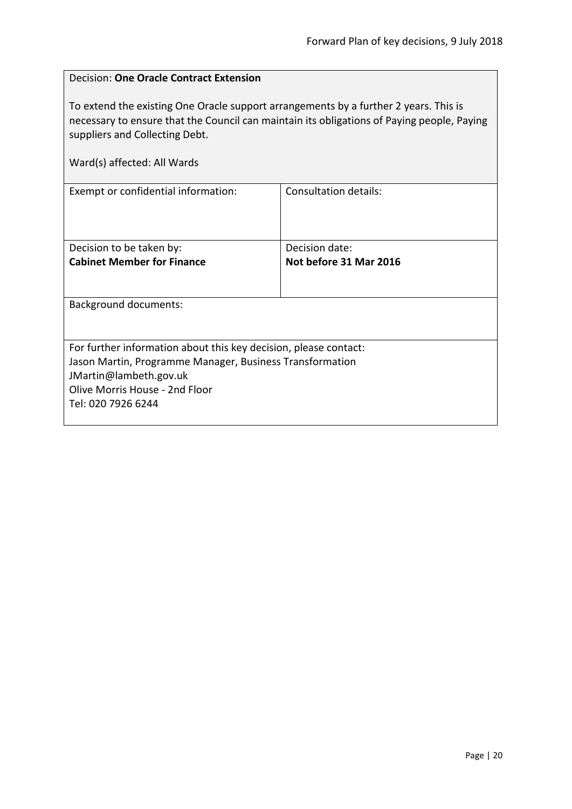$\overline{\phantom{0}}$ 

<span id="page-19-0"></span>

| <b>Decision: One Oracle Contract Extension</b>                                                                                                                                                                                                      |                              |  |
|-----------------------------------------------------------------------------------------------------------------------------------------------------------------------------------------------------------------------------------------------------|------------------------------|--|
| To extend the existing One Oracle support arrangements by a further 2 years. This is<br>necessary to ensure that the Council can maintain its obligations of Paying people, Paying<br>suppliers and Collecting Debt.<br>Ward(s) affected: All Wards |                              |  |
| Exempt or confidential information:                                                                                                                                                                                                                 | <b>Consultation details:</b> |  |
|                                                                                                                                                                                                                                                     |                              |  |
| Decision to be taken by:                                                                                                                                                                                                                            | Decision date:               |  |
| <b>Cabinet Member for Finance</b>                                                                                                                                                                                                                   | Not before 31 Mar 2016       |  |
| Background documents:                                                                                                                                                                                                                               |                              |  |
| For further information about this key decision, please contact:                                                                                                                                                                                    |                              |  |
| Jason Martin, Programme Manager, Business Transformation                                                                                                                                                                                            |                              |  |
| JMartin@lambeth.gov.uk                                                                                                                                                                                                                              |                              |  |
| Olive Morris House - 2nd Floor<br>Tel: 020 7926 6244                                                                                                                                                                                                |                              |  |
|                                                                                                                                                                                                                                                     |                              |  |

 $\mathbf{r}$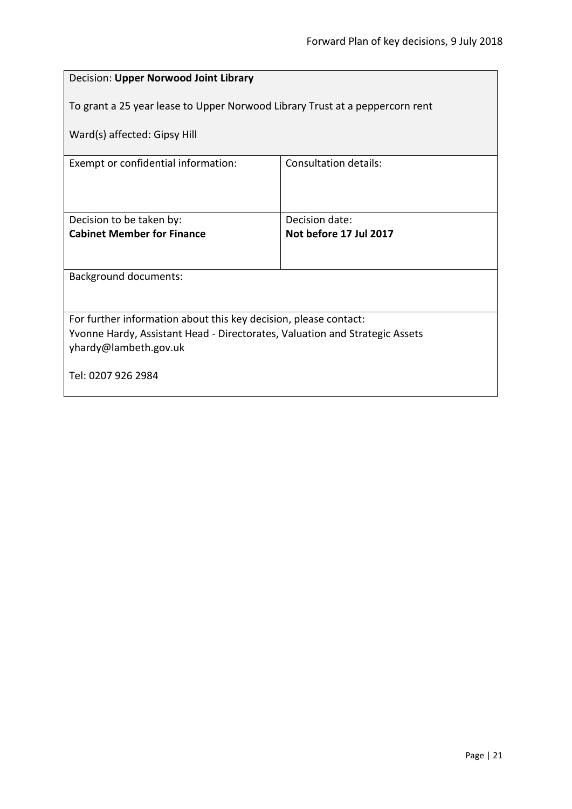<span id="page-20-0"></span>

| Decision: Upper Norwood Joint Library                                                                |                                          |  |
|------------------------------------------------------------------------------------------------------|------------------------------------------|--|
| To grant a 25 year lease to Upper Norwood Library Trust at a peppercorn rent                         |                                          |  |
| Ward(s) affected: Gipsy Hill                                                                         |                                          |  |
| Exempt or confidential information:                                                                  | Consultation details:                    |  |
|                                                                                                      |                                          |  |
| Decision to be taken by:<br><b>Cabinet Member for Finance</b>                                        | Decision date:<br>Not before 17 Jul 2017 |  |
|                                                                                                      |                                          |  |
| <b>Background documents:</b>                                                                         |                                          |  |
|                                                                                                      |                                          |  |
| For further information about this key decision, please contact:                                     |                                          |  |
| Yvonne Hardy, Assistant Head - Directorates, Valuation and Strategic Assets<br>yhardy@lambeth.gov.uk |                                          |  |
| Tel: 0207 926 2984                                                                                   |                                          |  |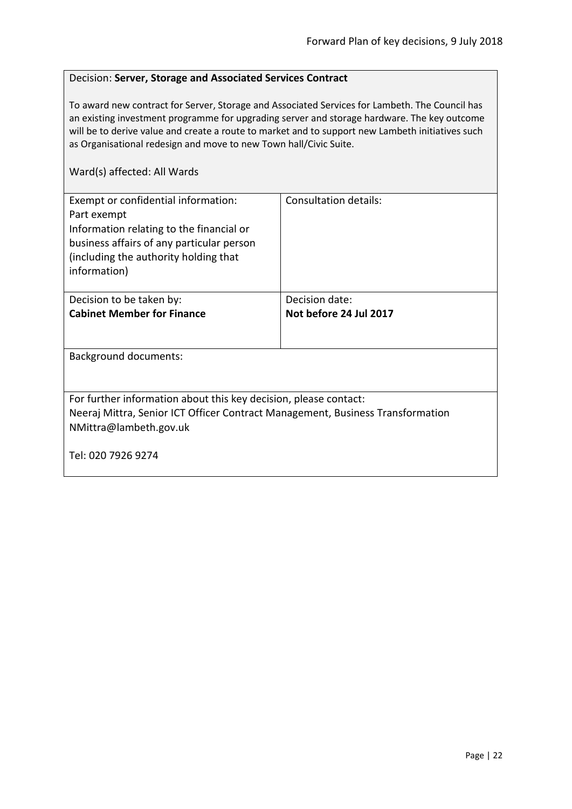#### <span id="page-21-0"></span>Decision: **Server, Storage and Associated Services Contract**

To award new contract for Server, Storage and Associated Services for Lambeth. The Council has an existing investment programme for upgrading server and storage hardware. The key outcome will be to derive value and create a route to market and to support new Lambeth initiatives such as Organisational redesign and move to new Town hall/Civic Suite.

| Exempt or confidential information:<br>Part exempt<br>Information relating to the financial or<br>business affairs of any particular person<br>(including the authority holding that<br>information) | <b>Consultation details:</b> |  |
|------------------------------------------------------------------------------------------------------------------------------------------------------------------------------------------------------|------------------------------|--|
| Decision to be taken by:                                                                                                                                                                             | Decision date:               |  |
| <b>Cabinet Member for Finance</b>                                                                                                                                                                    | Not before 24 Jul 2017       |  |
|                                                                                                                                                                                                      |                              |  |
| <b>Background documents:</b>                                                                                                                                                                         |                              |  |
|                                                                                                                                                                                                      |                              |  |
| For further information about this key decision, please contact:                                                                                                                                     |                              |  |
| Neeraj Mittra, Senior ICT Officer Contract Management, Business Transformation                                                                                                                       |                              |  |
| NMittra@lambeth.gov.uk                                                                                                                                                                               |                              |  |
| Tel: 020 7926 9274                                                                                                                                                                                   |                              |  |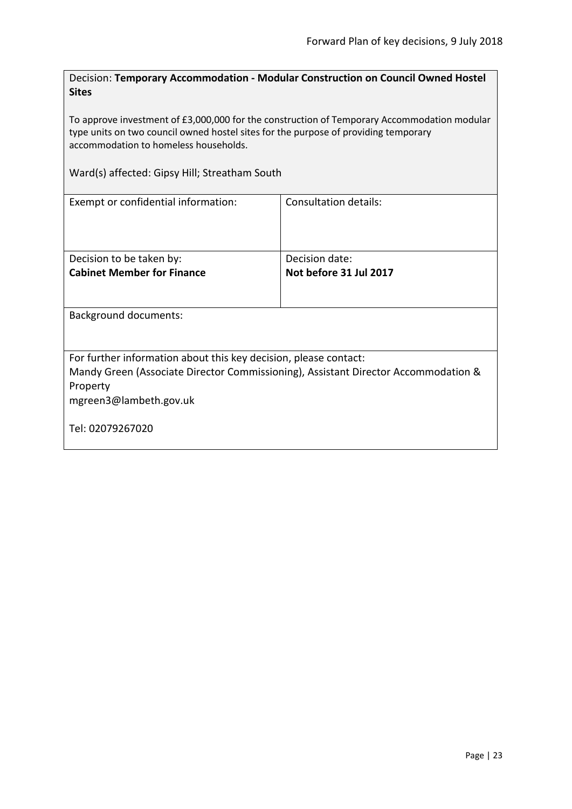<span id="page-22-0"></span>Decision: **Temporary Accommodation - Modular Construction on Council Owned Hostel Sites**

To approve investment of £3,000,000 for the construction of Temporary Accommodation modular type units on two council owned hostel sites for the purpose of providing temporary accommodation to homeless households.

Ward(s) affected: Gipsy Hill; Streatham South

| Exempt or confidential information:                                                | Consultation details:  |
|------------------------------------------------------------------------------------|------------------------|
| Decision to be taken by:                                                           | Decision date:         |
| <b>Cabinet Member for Finance</b>                                                  | Not before 31 Jul 2017 |
|                                                                                    |                        |
| <b>Background documents:</b>                                                       |                        |
| For further information about this key decision, please contact:                   |                        |
| Mandy Green (Associate Director Commissioning), Assistant Director Accommodation & |                        |
| Property                                                                           |                        |
| mgreen3@lambeth.gov.uk                                                             |                        |
|                                                                                    |                        |
| Tel: 02079267020                                                                   |                        |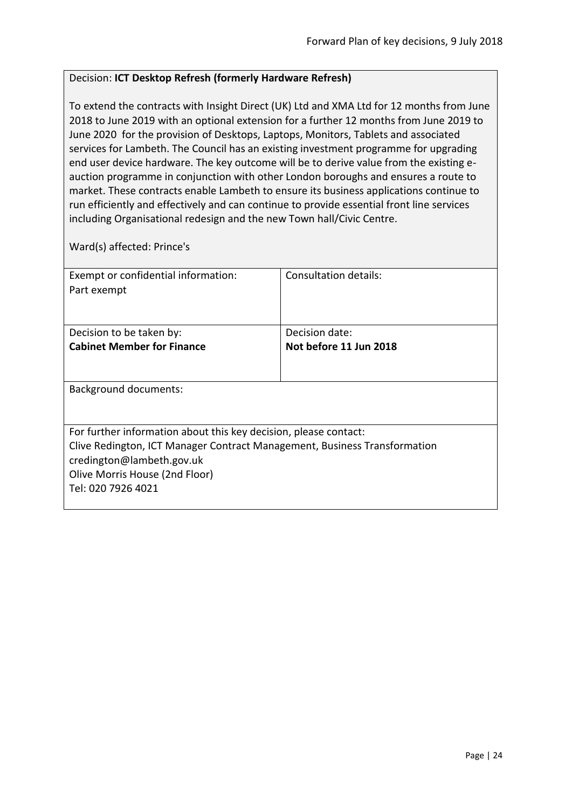#### <span id="page-23-0"></span>Decision: **ICT Desktop Refresh (formerly Hardware Refresh)**

To extend the contracts with Insight Direct (UK) Ltd and XMA Ltd for 12 months from June 2018 to June 2019 with an optional extension for a further 12 months from June 2019 to June 2020 for the provision of Desktops, Laptops, Monitors, Tablets and associated services for Lambeth. The Council has an existing investment programme for upgrading end user device hardware. The key outcome will be to derive value from the existing eauction programme in conjunction with other London boroughs and ensures a route to market. These contracts enable Lambeth to ensure its business applications continue to run efficiently and effectively and can continue to provide essential front line services including Organisational redesign and the new Town hall/Civic Centre.

Ward(s) affected: Prince's

| Exempt or confidential information:                                       | Consultation details:  |
|---------------------------------------------------------------------------|------------------------|
| Part exempt                                                               |                        |
|                                                                           |                        |
|                                                                           |                        |
| Decision to be taken by:                                                  | Decision date:         |
| <b>Cabinet Member for Finance</b>                                         | Not before 11 Jun 2018 |
|                                                                           |                        |
|                                                                           |                        |
| Background documents:                                                     |                        |
|                                                                           |                        |
|                                                                           |                        |
| For further information about this key decision, please contact:          |                        |
| Clive Redington, ICT Manager Contract Management, Business Transformation |                        |
| credington@lambeth.gov.uk                                                 |                        |
| Olive Morris House (2nd Floor)                                            |                        |
| Tel: 020 7926 4021                                                        |                        |
|                                                                           |                        |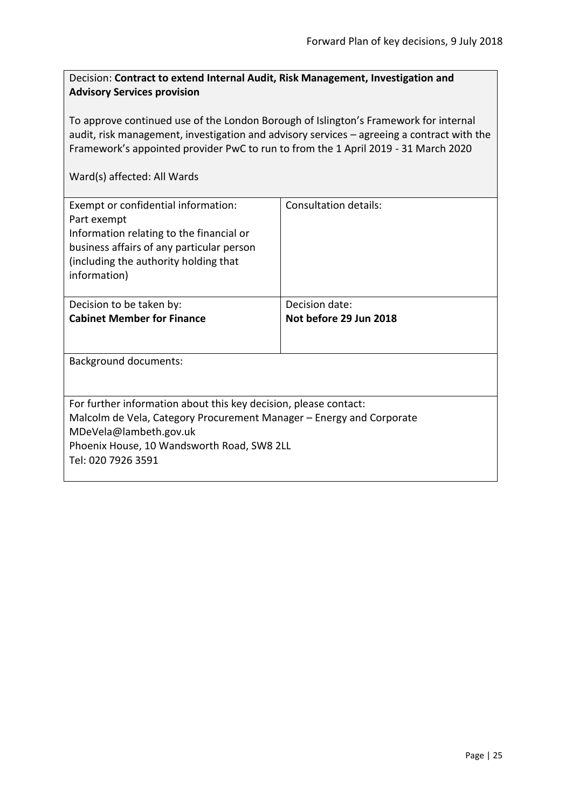#### <span id="page-24-0"></span>Decision: **Contract to extend Internal Audit, Risk Management, Investigation and Advisory Services provision**

To approve continued use of the London Borough of Islington's Framework for internal audit, risk management, investigation and advisory services – agreeing a contract with the Framework's appointed provider PwC to run to from the 1 April 2019 - 31 March 2020

| Exempt or confidential information:<br>Part exempt<br>Information relating to the financial or<br>business affairs of any particular person<br>(including the authority holding that<br>information)                                   | <b>Consultation details:</b>             |  |
|----------------------------------------------------------------------------------------------------------------------------------------------------------------------------------------------------------------------------------------|------------------------------------------|--|
| Decision to be taken by:<br><b>Cabinet Member for Finance</b>                                                                                                                                                                          | Decision date:<br>Not before 29 Jun 2018 |  |
| Background documents:                                                                                                                                                                                                                  |                                          |  |
| For further information about this key decision, please contact:<br>Malcolm de Vela, Category Procurement Manager – Energy and Corporate<br>MDeVela@lambeth.gov.uk<br>Phoenix House, 10 Wandsworth Road, SW8 2LL<br>Tel: 020 7926 3591 |                                          |  |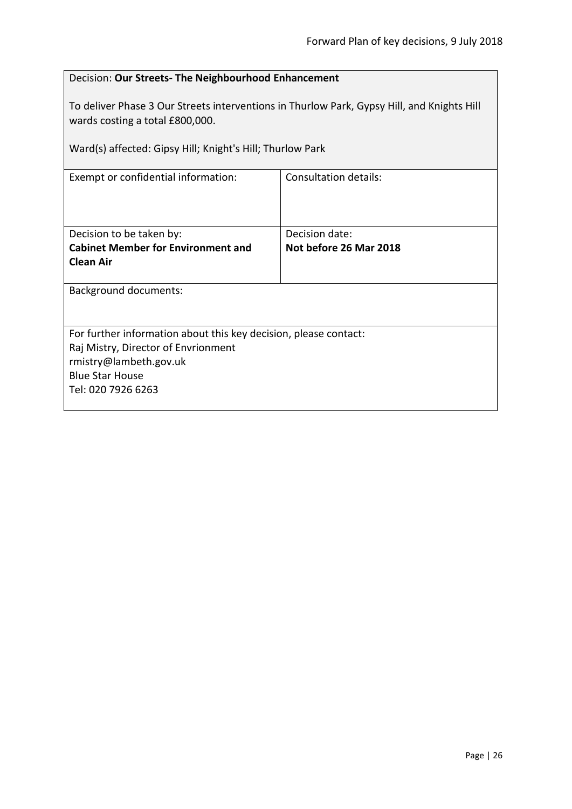<span id="page-25-0"></span>

| Decision: Our Streets- The Neighbourhood Enhancement                                                                          |                              |  |
|-------------------------------------------------------------------------------------------------------------------------------|------------------------------|--|
| To deliver Phase 3 Our Streets interventions in Thurlow Park, Gypsy Hill, and Knights Hill<br>wards costing a total £800,000. |                              |  |
| Ward(s) affected: Gipsy Hill; Knight's Hill; Thurlow Park                                                                     |                              |  |
| Exempt or confidential information:                                                                                           | <b>Consultation details:</b> |  |
|                                                                                                                               |                              |  |
| Decision to be taken by:                                                                                                      | Decision date:               |  |
| <b>Cabinet Member for Environment and</b><br><b>Clean Air</b>                                                                 | Not before 26 Mar 2018       |  |
| <b>Background documents:</b>                                                                                                  |                              |  |
| For further information about this key decision, please contact:                                                              |                              |  |
| Raj Mistry, Director of Envrionment<br>rmistry@lambeth.gov.uk                                                                 |                              |  |
| <b>Blue Star House</b>                                                                                                        |                              |  |
| Tel: 020 7926 6263                                                                                                            |                              |  |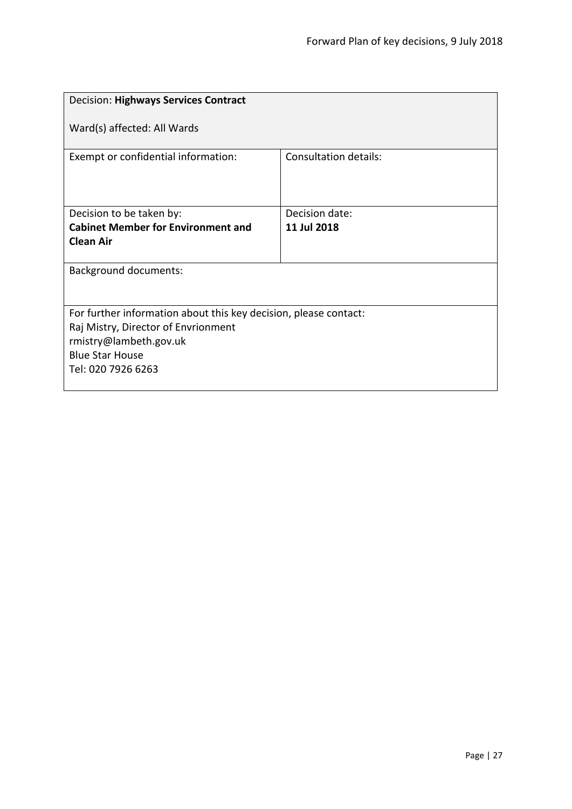<span id="page-26-0"></span>

| <b>Decision: Highways Services Contract</b>                                                                                                                                       |                              |  |
|-----------------------------------------------------------------------------------------------------------------------------------------------------------------------------------|------------------------------|--|
| Ward(s) affected: All Wards                                                                                                                                                       |                              |  |
| Exempt or confidential information:                                                                                                                                               | <b>Consultation details:</b> |  |
| Decision to be taken by:                                                                                                                                                          | Decision date:               |  |
| <b>Cabinet Member for Environment and</b><br><b>Clean Air</b>                                                                                                                     | 11 Jul 2018                  |  |
| <b>Background documents:</b>                                                                                                                                                      |                              |  |
| For further information about this key decision, please contact:<br>Raj Mistry, Director of Envrionment<br>rmistry@lambeth.gov.uk<br><b>Blue Star House</b><br>Tel: 020 7926 6263 |                              |  |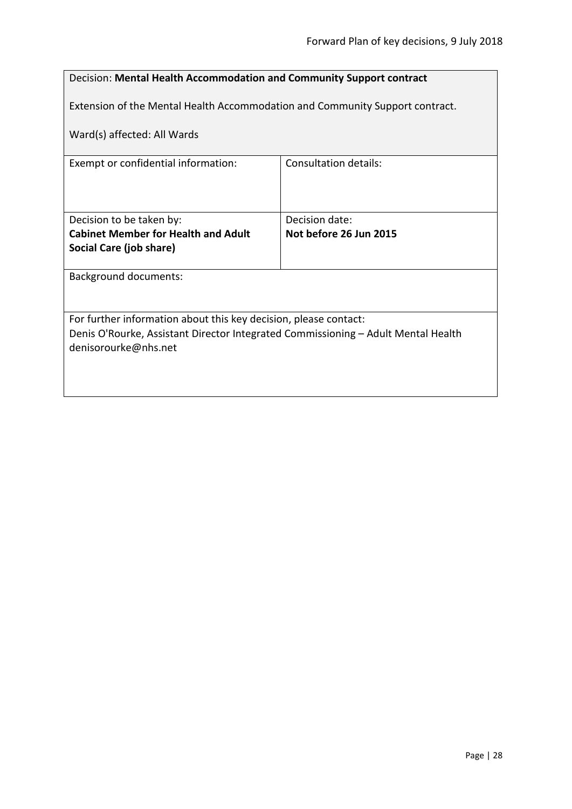<span id="page-27-0"></span>

| Decision: Mental Health Accommodation and Community Support contract                                      |                        |  |
|-----------------------------------------------------------------------------------------------------------|------------------------|--|
| Extension of the Mental Health Accommodation and Community Support contract.                              |                        |  |
| Ward(s) affected: All Wards                                                                               |                        |  |
| Exempt or confidential information:                                                                       | Consultation details:  |  |
|                                                                                                           |                        |  |
| Decision to be taken by:                                                                                  | Decision date:         |  |
| <b>Cabinet Member for Health and Adult</b>                                                                | Not before 26 Jun 2015 |  |
| Social Care (job share)                                                                                   |                        |  |
| <b>Background documents:</b>                                                                              |                        |  |
|                                                                                                           |                        |  |
| For further information about this key decision, please contact:                                          |                        |  |
| Denis O'Rourke, Assistant Director Integrated Commissioning - Adult Mental Health<br>denisorourke@nhs.net |                        |  |
|                                                                                                           |                        |  |
|                                                                                                           |                        |  |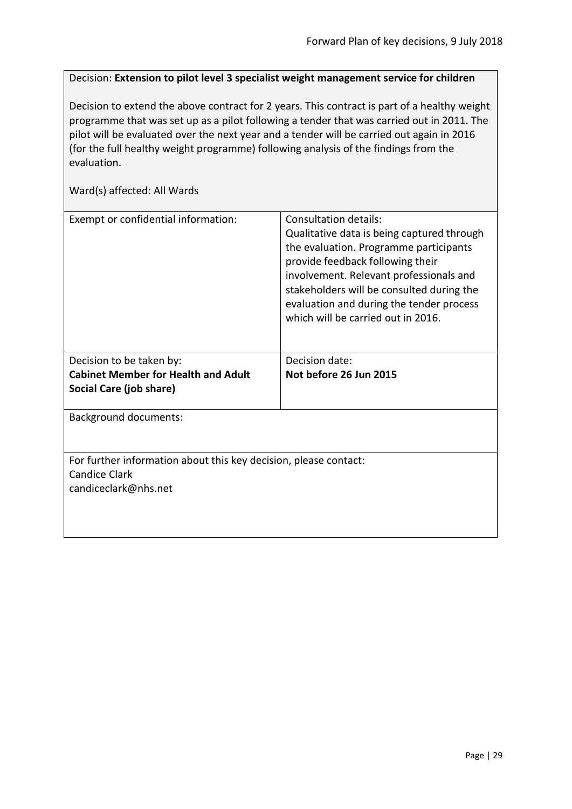<span id="page-28-0"></span>Decision: **Extension to pilot level 3 specialist weight management service for children**

Decision to extend the above contract for 2 years. This contract is part of a healthy weight programme that was set up as a pilot following a tender that was carried out in 2011. The pilot will be evaluated over the next year and a tender will be carried out again in 2016 (for the full healthy weight programme) following analysis of the findings from the evaluation.

| Consultation details:<br>Qualitative data is being captured through<br>the evaluation. Programme participants<br>provide feedback following their<br>involvement. Relevant professionals and<br>stakeholders will be consulted during the<br>evaluation and during the tender process<br>which will be carried out in 2016. |
|-----------------------------------------------------------------------------------------------------------------------------------------------------------------------------------------------------------------------------------------------------------------------------------------------------------------------------|
| Decision date:                                                                                                                                                                                                                                                                                                              |
| Not before 26 Jun 2015                                                                                                                                                                                                                                                                                                      |
|                                                                                                                                                                                                                                                                                                                             |
|                                                                                                                                                                                                                                                                                                                             |
|                                                                                                                                                                                                                                                                                                                             |
| For further information about this key decision, please contact:                                                                                                                                                                                                                                                            |
|                                                                                                                                                                                                                                                                                                                             |
|                                                                                                                                                                                                                                                                                                                             |
|                                                                                                                                                                                                                                                                                                                             |
|                                                                                                                                                                                                                                                                                                                             |
|                                                                                                                                                                                                                                                                                                                             |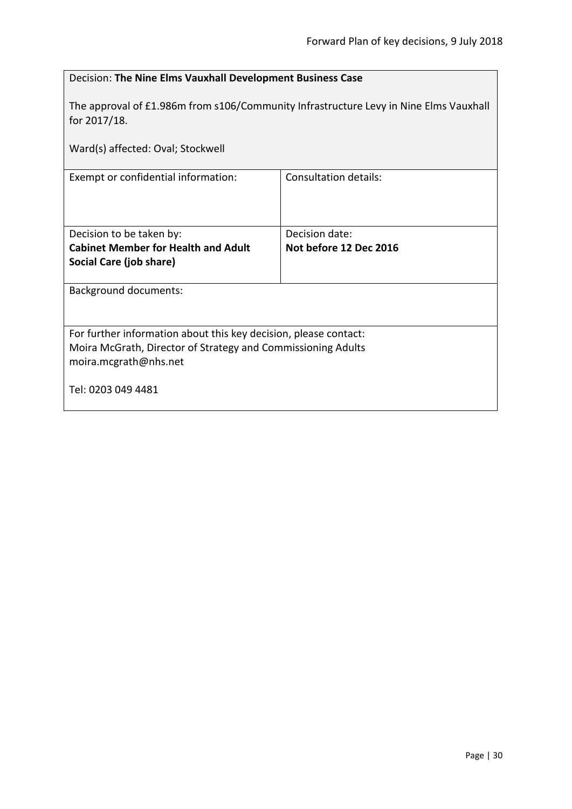<span id="page-29-0"></span>

| Decision: The Nine Elms Vauxhall Development Business Case                                            |                              |  |
|-------------------------------------------------------------------------------------------------------|------------------------------|--|
| The approval of £1.986m from s106/Community Infrastructure Levy in Nine Elms Vauxhall<br>for 2017/18. |                              |  |
| Ward(s) affected: Oval; Stockwell                                                                     |                              |  |
| Exempt or confidential information:                                                                   | <b>Consultation details:</b> |  |
|                                                                                                       |                              |  |
| Decision to be taken by:                                                                              | Decision date:               |  |
| <b>Cabinet Member for Health and Adult</b>                                                            | Not before 12 Dec 2016       |  |
| Social Care (job share)                                                                               |                              |  |
| <b>Background documents:</b>                                                                          |                              |  |
|                                                                                                       |                              |  |
| For further information about this key decision, please contact:                                      |                              |  |
| Moira McGrath, Director of Strategy and Commissioning Adults                                          |                              |  |
| moira.mcgrath@nhs.net                                                                                 |                              |  |
| Tel: 0203 049 4481                                                                                    |                              |  |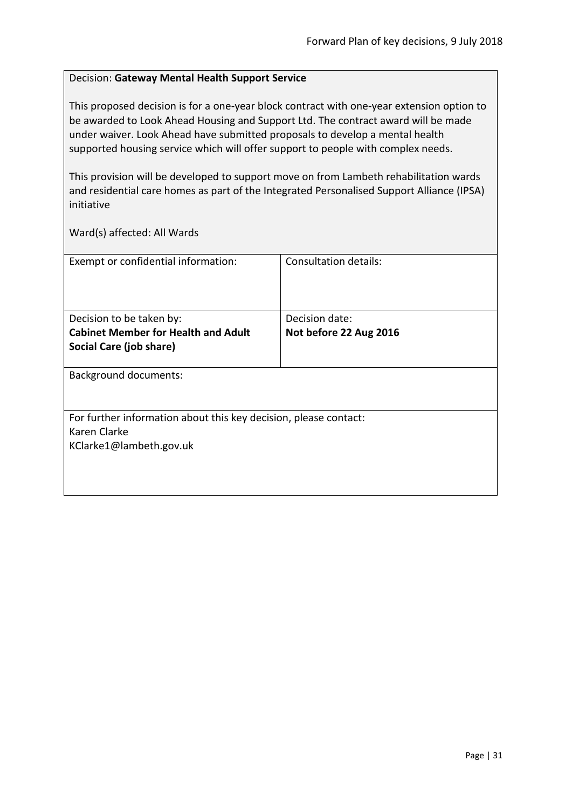#### <span id="page-30-0"></span>Decision: **Gateway Mental Health Support Service**

This proposed decision is for a one-year block contract with one-year extension option to be awarded to Look Ahead Housing and Support Ltd. The contract award will be made under waiver. Look Ahead have submitted proposals to develop a mental health supported housing service which will offer support to people with complex needs.

This provision will be developed to support move on from Lambeth rehabilitation wards and residential care homes as part of the Integrated Personalised Support Alliance (IPSA) initiative

| Exempt or confidential information:                              | Consultation details:  |
|------------------------------------------------------------------|------------------------|
|                                                                  |                        |
| Decision to be taken by:                                         | Decision date:         |
| <b>Cabinet Member for Health and Adult</b>                       | Not before 22 Aug 2016 |
| Social Care (job share)                                          |                        |
|                                                                  |                        |
| <b>Background documents:</b>                                     |                        |
|                                                                  |                        |
|                                                                  |                        |
| For further information about this key decision, please contact: |                        |
| Karen Clarke                                                     |                        |
| KClarke1@lambeth.gov.uk                                          |                        |
|                                                                  |                        |
|                                                                  |                        |
|                                                                  |                        |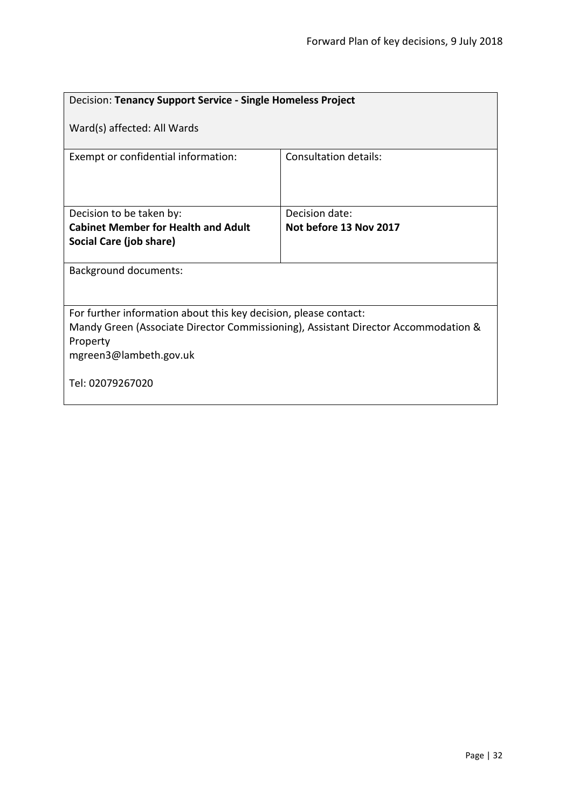<span id="page-31-0"></span>

| Decision: Tenancy Support Service - Single Homeless Project                                                                                                                                  |                              |  |
|----------------------------------------------------------------------------------------------------------------------------------------------------------------------------------------------|------------------------------|--|
| Ward(s) affected: All Wards                                                                                                                                                                  |                              |  |
| Exempt or confidential information:                                                                                                                                                          | <b>Consultation details:</b> |  |
| Decision to be taken by:                                                                                                                                                                     | Decision date:               |  |
| <b>Cabinet Member for Health and Adult</b>                                                                                                                                                   | Not before 13 Nov 2017       |  |
| Social Care (job share)                                                                                                                                                                      |                              |  |
| <b>Background documents:</b>                                                                                                                                                                 |                              |  |
| For further information about this key decision, please contact:<br>Mandy Green (Associate Director Commissioning), Assistant Director Accommodation &<br>Property<br>mgreen3@lambeth.gov.uk |                              |  |
| Tel: 02079267020                                                                                                                                                                             |                              |  |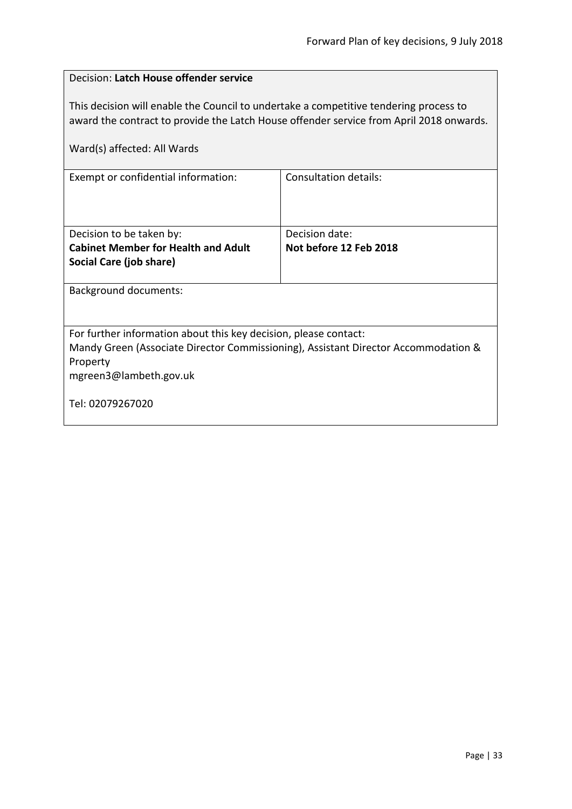<span id="page-32-0"></span>

| Decision: Latch House offender service                                                                                                                                           |                        |  |
|----------------------------------------------------------------------------------------------------------------------------------------------------------------------------------|------------------------|--|
| This decision will enable the Council to undertake a competitive tendering process to<br>award the contract to provide the Latch House offender service from April 2018 onwards. |                        |  |
| Ward(s) affected: All Wards                                                                                                                                                      |                        |  |
| Exempt or confidential information:                                                                                                                                              | Consultation details:  |  |
|                                                                                                                                                                                  |                        |  |
| Decision to be taken by:                                                                                                                                                         | Decision date:         |  |
| <b>Cabinet Member for Health and Adult</b>                                                                                                                                       | Not before 12 Feb 2018 |  |
| Social Care (job share)                                                                                                                                                          |                        |  |
| <b>Background documents:</b>                                                                                                                                                     |                        |  |
|                                                                                                                                                                                  |                        |  |
| For further information about this key decision, please contact:                                                                                                                 |                        |  |
| Mandy Green (Associate Director Commissioning), Assistant Director Accommodation &                                                                                               |                        |  |
| Property                                                                                                                                                                         |                        |  |
| mgreen3@lambeth.gov.uk                                                                                                                                                           |                        |  |
| Tel: 02079267020                                                                                                                                                                 |                        |  |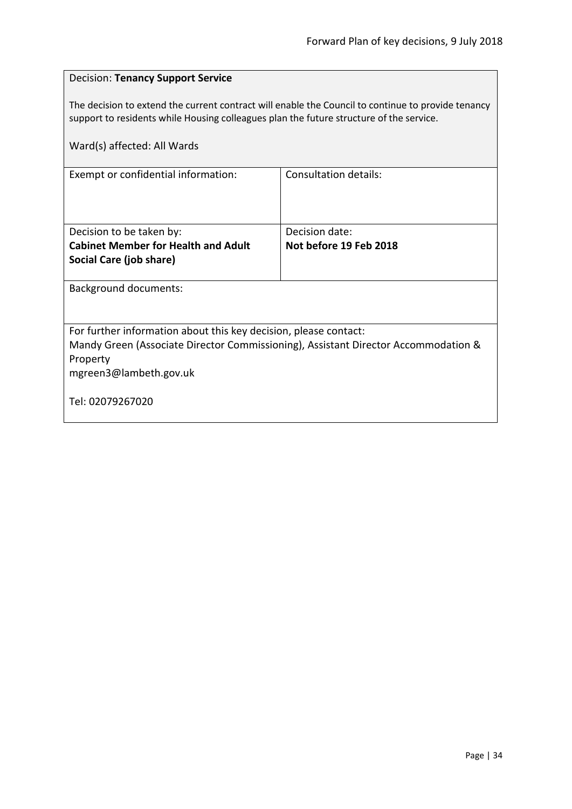<span id="page-33-0"></span>

| <b>Decision: Tenancy Support Service</b>                                                                                                                                                      |                        |  |
|-----------------------------------------------------------------------------------------------------------------------------------------------------------------------------------------------|------------------------|--|
| The decision to extend the current contract will enable the Council to continue to provide tenancy<br>support to residents while Housing colleagues plan the future structure of the service. |                        |  |
| Ward(s) affected: All Wards                                                                                                                                                                   |                        |  |
| Exempt or confidential information:                                                                                                                                                           | Consultation details:  |  |
| Decision to be taken by:                                                                                                                                                                      | Decision date:         |  |
| <b>Cabinet Member for Health and Adult</b><br>Social Care (job share)                                                                                                                         | Not before 19 Feb 2018 |  |
| Background documents:                                                                                                                                                                         |                        |  |
|                                                                                                                                                                                               |                        |  |
| For further information about this key decision, please contact:<br>Mandy Green (Associate Director Commissioning), Assistant Director Accommodation &<br>Property<br>mgreen3@lambeth.gov.uk  |                        |  |
| Tel: 02079267020                                                                                                                                                                              |                        |  |

ń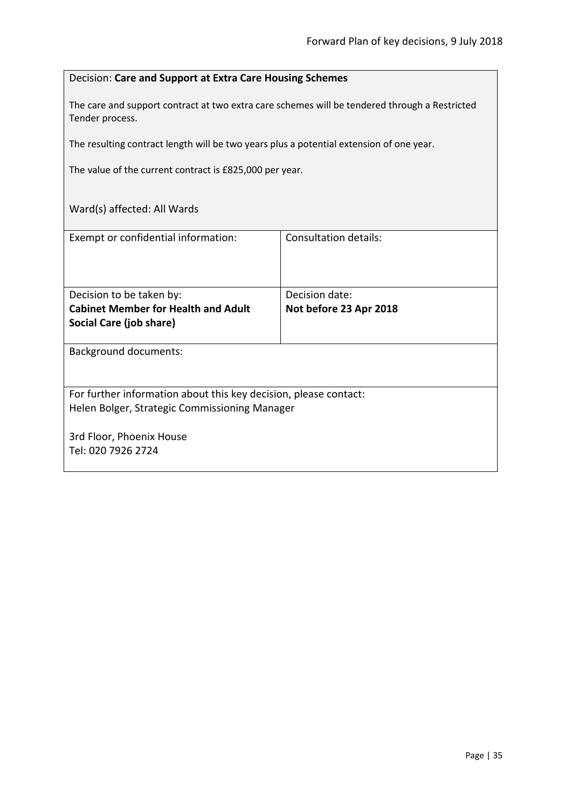#### <span id="page-34-0"></span>Decision: **Care and Support at Extra Care Housing Schemes**

The care and support contract at two extra care schemes will be tendered through a Restricted Tender process.

The resulting contract length will be two years plus a potential extension of one year.

The value of the current contract is £825,000 per year.

| Consultation details:                                            |  |
|------------------------------------------------------------------|--|
|                                                                  |  |
|                                                                  |  |
| Decision date:                                                   |  |
| Not before 23 Apr 2018                                           |  |
|                                                                  |  |
|                                                                  |  |
|                                                                  |  |
|                                                                  |  |
|                                                                  |  |
| For further information about this key decision, please contact: |  |
| Helen Bolger, Strategic Commissioning Manager                    |  |
|                                                                  |  |
|                                                                  |  |
|                                                                  |  |
|                                                                  |  |
|                                                                  |  |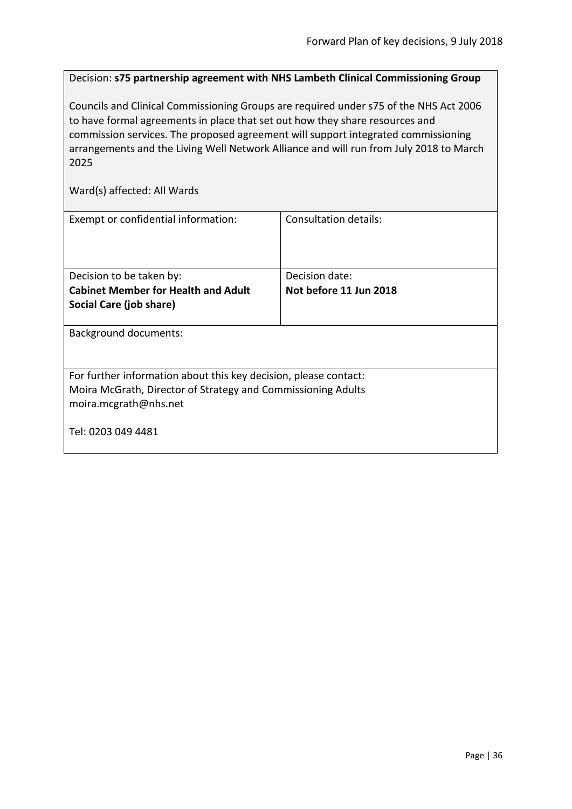<span id="page-35-0"></span>Decision: **s75 partnership agreement with NHS Lambeth Clinical Commissioning Group**

Councils and Clinical Commissioning Groups are required under s75 of the NHS Act 2006 to have formal agreements in place that set out how they share resources and commission services. The proposed agreement will support integrated commissioning arrangements and the Living Well Network Alliance and will run from July 2018 to March 2025

| Exempt or confidential information:                              | Consultation details:  |
|------------------------------------------------------------------|------------------------|
| Decision to be taken by:                                         | Decision date:         |
| <b>Cabinet Member for Health and Adult</b>                       | Not before 11 Jun 2018 |
| Social Care (job share)                                          |                        |
| <b>Background documents:</b>                                     |                        |
| For further information about this key decision, please contact: |                        |
| Moira McGrath, Director of Strategy and Commissioning Adults     |                        |
| moira.mcgrath@nhs.net                                            |                        |
| Tel: 0203 049 4481                                               |                        |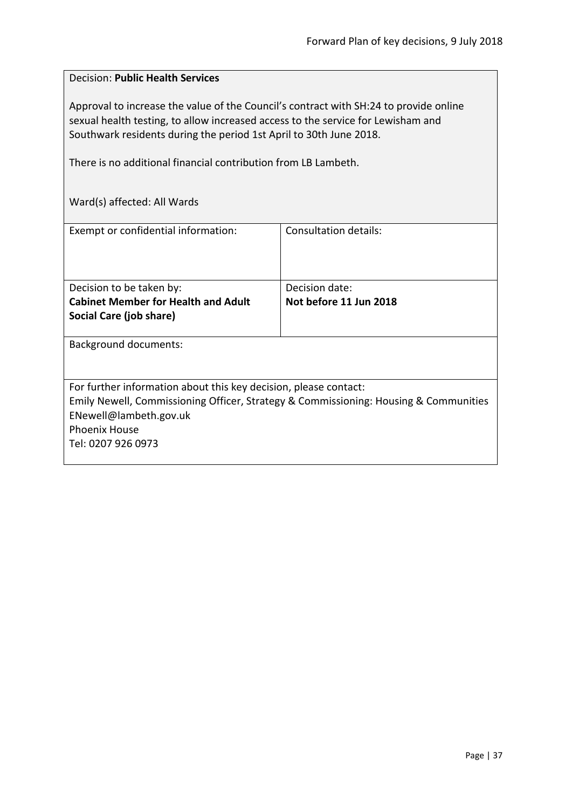#### <span id="page-36-0"></span>Decision: **Public Health Services**

Approval to increase the value of the Council's contract with SH:24 to provide online sexual health testing, to allow increased access to the service for Lewisham and Southwark residents during the period 1st April to 30th June 2018.

There is no additional financial contribution from LB Lambeth.

| Exempt or confidential information:                                                  | Consultation details:  |
|--------------------------------------------------------------------------------------|------------------------|
|                                                                                      |                        |
|                                                                                      |                        |
|                                                                                      |                        |
|                                                                                      |                        |
| Decision to be taken by:                                                             | Decision date:         |
| <b>Cabinet Member for Health and Adult</b>                                           | Not before 11 Jun 2018 |
| Social Care (job share)                                                              |                        |
|                                                                                      |                        |
|                                                                                      |                        |
| <b>Background documents:</b>                                                         |                        |
|                                                                                      |                        |
|                                                                                      |                        |
| For further information about this key decision, please contact:                     |                        |
| Emily Newell, Commissioning Officer, Strategy & Commissioning: Housing & Communities |                        |
|                                                                                      |                        |
| ENewell@lambeth.gov.uk                                                               |                        |
| <b>Phoenix House</b>                                                                 |                        |
| Tel: 0207 926 0973                                                                   |                        |
|                                                                                      |                        |
|                                                                                      |                        |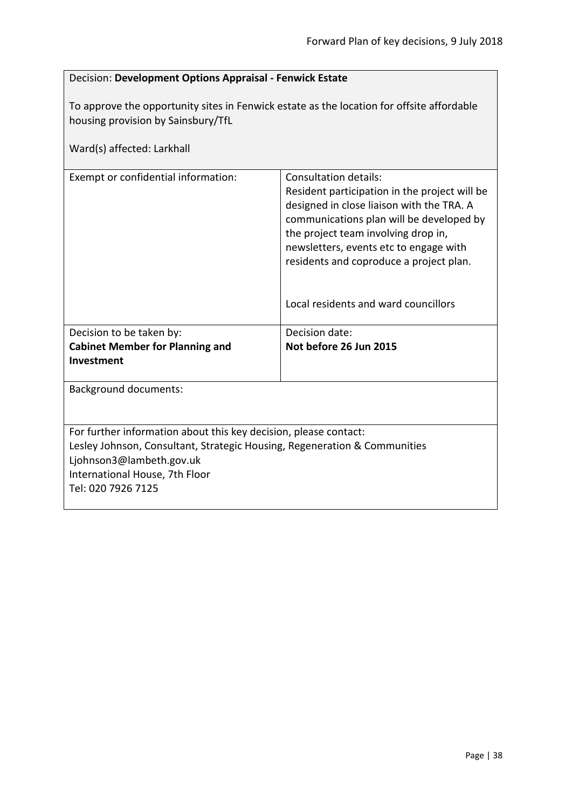<span id="page-37-0"></span>

| Decision: Development Options Appraisal - Fenwick Estate                                                                                                                                                                          |                                                                                                                                                                                                                                                                                                                                     |  |
|-----------------------------------------------------------------------------------------------------------------------------------------------------------------------------------------------------------------------------------|-------------------------------------------------------------------------------------------------------------------------------------------------------------------------------------------------------------------------------------------------------------------------------------------------------------------------------------|--|
| To approve the opportunity sites in Fenwick estate as the location for offsite affordable<br>housing provision by Sainsbury/TfL<br>Ward(s) affected: Larkhall                                                                     |                                                                                                                                                                                                                                                                                                                                     |  |
| Exempt or confidential information:                                                                                                                                                                                               | Consultation details:<br>Resident participation in the project will be<br>designed in close liaison with the TRA. A<br>communications plan will be developed by<br>the project team involving drop in,<br>newsletters, events etc to engage with<br>residents and coproduce a project plan.<br>Local residents and ward councillors |  |
| Decision to be taken by:<br><b>Cabinet Member for Planning and</b><br>Investment                                                                                                                                                  | Decision date:<br>Not before 26 Jun 2015                                                                                                                                                                                                                                                                                            |  |
| <b>Background documents:</b>                                                                                                                                                                                                      |                                                                                                                                                                                                                                                                                                                                     |  |
| For further information about this key decision, please contact:<br>Lesley Johnson, Consultant, Strategic Housing, Regeneration & Communities<br>Ljohnson3@lambeth.gov.uk<br>International House, 7th Floor<br>Tel: 020 7926 7125 |                                                                                                                                                                                                                                                                                                                                     |  |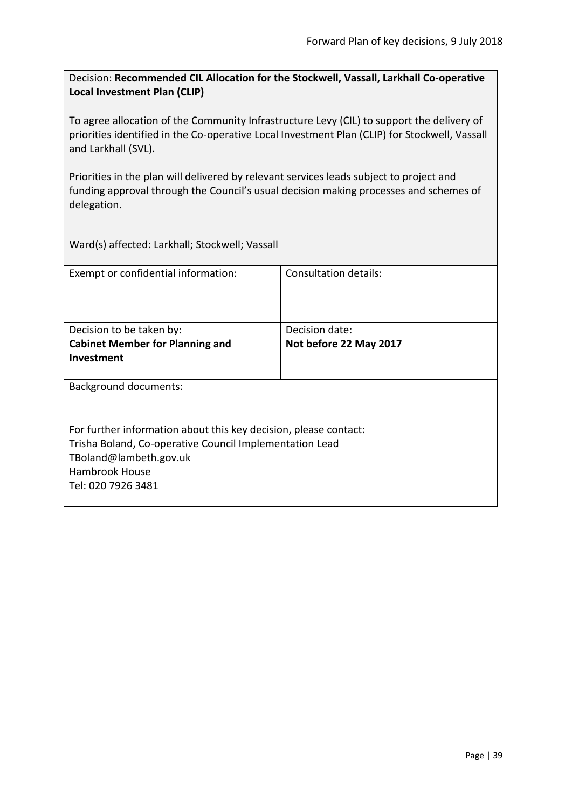<span id="page-38-0"></span>Decision: **Recommended CIL Allocation for the Stockwell, Vassall, Larkhall Co-operative Local Investment Plan (CLIP)**

To agree allocation of the Community Infrastructure Levy (CIL) to support the delivery of priorities identified in the Co-operative Local Investment Plan (CLIP) for Stockwell, Vassall and Larkhall (SVL).

Priorities in the plan will delivered by relevant services leads subject to project and funding approval through the Council's usual decision making processes and schemes of delegation.

Ward(s) affected: Larkhall; Stockwell; Vassall

| Exempt or confidential information:                              | Consultation details:  |
|------------------------------------------------------------------|------------------------|
| Decision to be taken by:                                         | Decision date:         |
| <b>Cabinet Member for Planning and</b>                           | Not before 22 May 2017 |
| <b>Investment</b>                                                |                        |
| <b>Background documents:</b>                                     |                        |
| For further information about this key decision, please contact: |                        |
| Trisha Boland, Co-operative Council Implementation Lead          |                        |
| TBoland@lambeth.gov.uk                                           |                        |
| <b>Hambrook House</b>                                            |                        |
| Tel: 020 7926 3481                                               |                        |
|                                                                  |                        |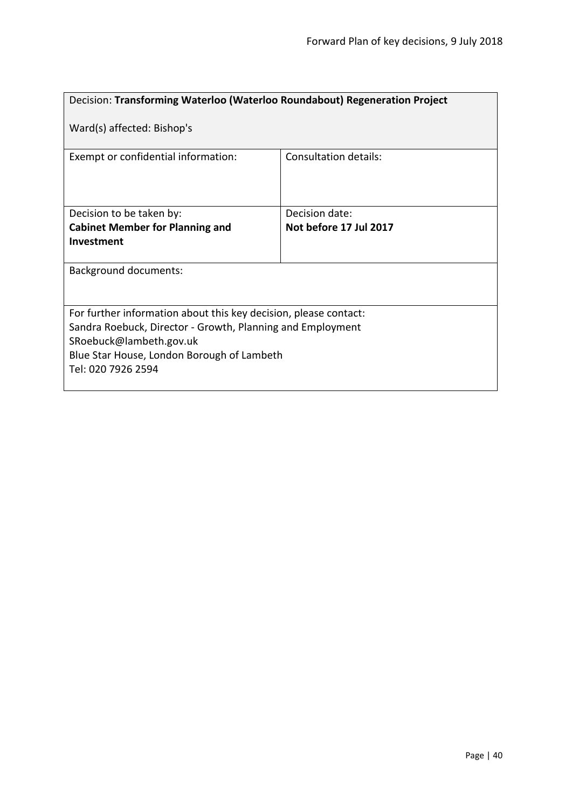<span id="page-39-0"></span>

| Decision: Transforming Waterloo (Waterloo Roundabout) Regeneration Project                                                                                                                                                    |                              |
|-------------------------------------------------------------------------------------------------------------------------------------------------------------------------------------------------------------------------------|------------------------------|
| Ward(s) affected: Bishop's                                                                                                                                                                                                    |                              |
| Exempt or confidential information:                                                                                                                                                                                           | <b>Consultation details:</b> |
| Decision to be taken by:                                                                                                                                                                                                      | Decision date:               |
| <b>Cabinet Member for Planning and</b>                                                                                                                                                                                        | Not before 17 Jul 2017       |
| Investment                                                                                                                                                                                                                    |                              |
| <b>Background documents:</b>                                                                                                                                                                                                  |                              |
| For further information about this key decision, please contact:<br>Sandra Roebuck, Director - Growth, Planning and Employment<br>SRoebuck@lambeth.gov.uk<br>Blue Star House, London Borough of Lambeth<br>Tel: 020 7926 2594 |                              |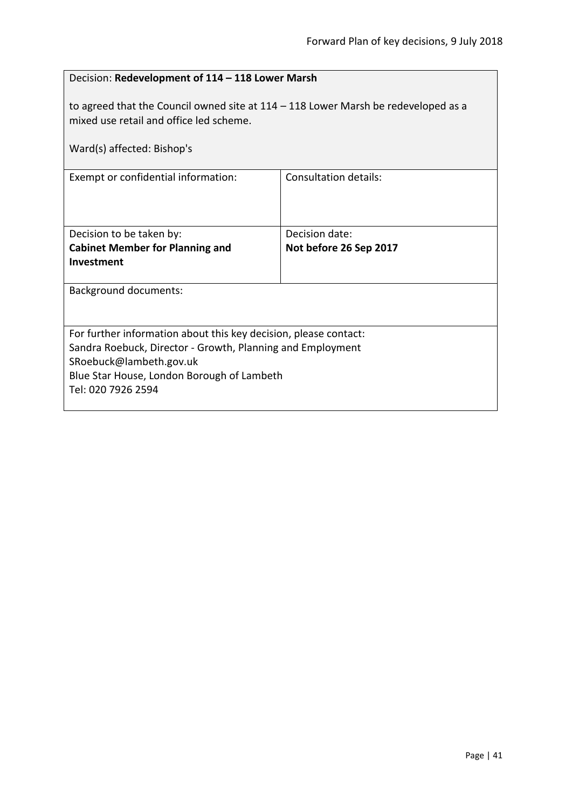<span id="page-40-0"></span>

| Decision: Redevelopment of 114 - 118 Lower Marsh                                                                                                              |                        |  |
|---------------------------------------------------------------------------------------------------------------------------------------------------------------|------------------------|--|
| to agreed that the Council owned site at $114 - 118$ Lower Marsh be redeveloped as a<br>mixed use retail and office led scheme.<br>Ward(s) affected: Bishop's |                        |  |
| Exempt or confidential information:                                                                                                                           | Consultation details:  |  |
|                                                                                                                                                               |                        |  |
| Decision to be taken by:                                                                                                                                      | Decision date:         |  |
| <b>Cabinet Member for Planning and</b>                                                                                                                        | Not before 26 Sep 2017 |  |
| Investment                                                                                                                                                    |                        |  |
| <b>Background documents:</b>                                                                                                                                  |                        |  |
|                                                                                                                                                               |                        |  |
| For further information about this key decision, please contact:                                                                                              |                        |  |
| Sandra Roebuck, Director - Growth, Planning and Employment<br>SRoebuck@lambeth.gov.uk                                                                         |                        |  |
| Blue Star House, London Borough of Lambeth                                                                                                                    |                        |  |
| Tel: 020 7926 2594                                                                                                                                            |                        |  |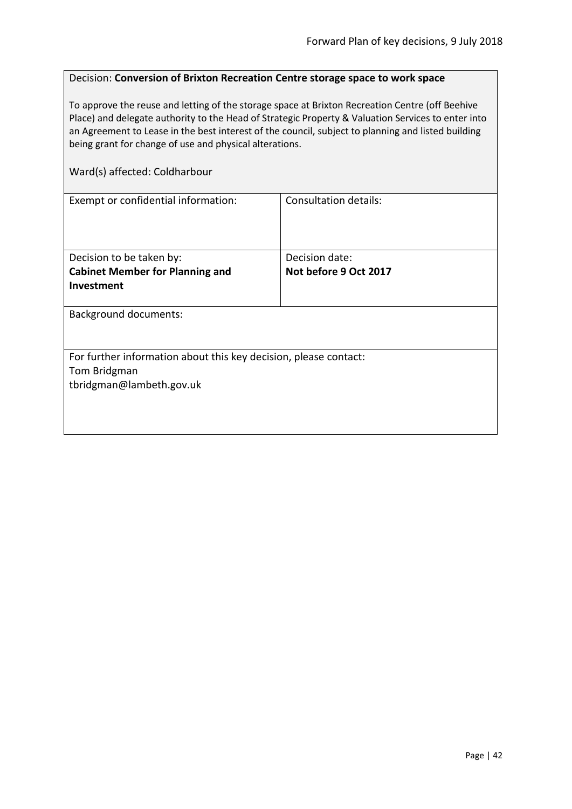#### <span id="page-41-0"></span>Decision: **Conversion of Brixton Recreation Centre storage space to work space**

To approve the reuse and letting of the storage space at Brixton Recreation Centre (off Beehive Place) and delegate authority to the Head of Strategic Property & Valuation Services to enter into an Agreement to Lease in the best interest of the council, subject to planning and listed building being grant for change of use and physical alterations.

#### Ward(s) affected: Coldharbour

| Exempt or confidential information:                              | <b>Consultation details:</b> |  |
|------------------------------------------------------------------|------------------------------|--|
|                                                                  |                              |  |
|                                                                  |                              |  |
|                                                                  |                              |  |
| Decision to be taken by:                                         | Decision date:               |  |
| <b>Cabinet Member for Planning and</b>                           | Not before 9 Oct 2017        |  |
| Investment                                                       |                              |  |
|                                                                  |                              |  |
| <b>Background documents:</b>                                     |                              |  |
|                                                                  |                              |  |
|                                                                  |                              |  |
| For further information about this key decision, please contact: |                              |  |
| Tom Bridgman                                                     |                              |  |
| tbridgman@lambeth.gov.uk                                         |                              |  |
|                                                                  |                              |  |
|                                                                  |                              |  |
|                                                                  |                              |  |
|                                                                  |                              |  |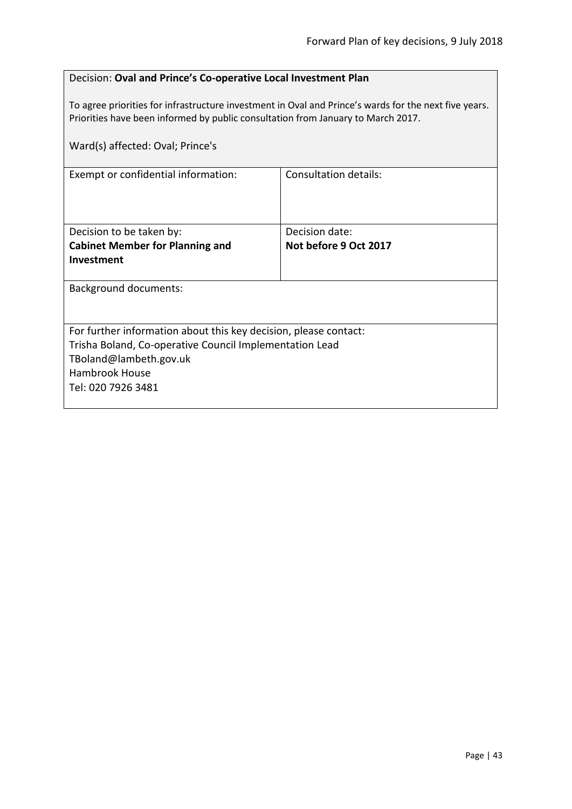#### <span id="page-42-0"></span>Decision: **Oval and Prince's Co-operative Local Investment Plan**

To agree priorities for infrastructure investment in Oval and Prince's wards for the next five years. Priorities have been informed by public consultation from January to March 2017.

| Ward(s) affected: Oval; Prince's                                 |                       |
|------------------------------------------------------------------|-----------------------|
| Exempt or confidential information:                              | Consultation details: |
| Decision to be taken by:                                         | Decision date:        |
| <b>Cabinet Member for Planning and</b>                           | Not before 9 Oct 2017 |
| <b>Investment</b>                                                |                       |
| <b>Background documents:</b>                                     |                       |
| For further information about this key decision, please contact: |                       |
| Trisha Boland, Co-operative Council Implementation Lead          |                       |
| TBoland@lambeth.gov.uk                                           |                       |
| <b>Hambrook House</b>                                            |                       |
| Tel: 020 7926 3481                                               |                       |
|                                                                  |                       |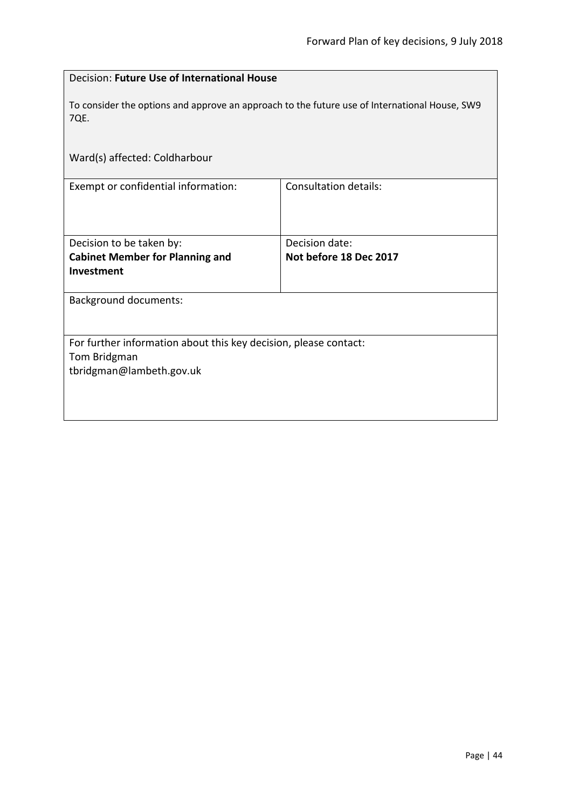<span id="page-43-0"></span>

| Decision: Future Use of International House                                                           |                              |  |
|-------------------------------------------------------------------------------------------------------|------------------------------|--|
| To consider the options and approve an approach to the future use of International House, SW9<br>7QE. |                              |  |
| Ward(s) affected: Coldharbour                                                                         |                              |  |
| Exempt or confidential information:                                                                   | <b>Consultation details:</b> |  |
| Decision to be taken by:                                                                              | Decision date:               |  |
| <b>Cabinet Member for Planning and</b>                                                                | Not before 18 Dec 2017       |  |
| Investment                                                                                            |                              |  |
| <b>Background documents:</b>                                                                          |                              |  |
|                                                                                                       |                              |  |
| For further information about this key decision, please contact:                                      |                              |  |
| Tom Bridgman                                                                                          |                              |  |
| tbridgman@lambeth.gov.uk                                                                              |                              |  |
|                                                                                                       |                              |  |
|                                                                                                       |                              |  |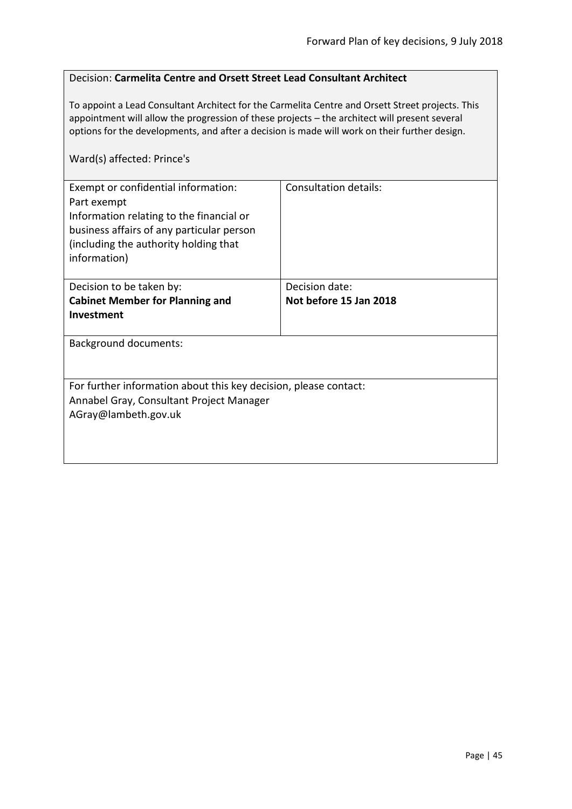#### <span id="page-44-0"></span>Decision: **Carmelita Centre and Orsett Street Lead Consultant Architect**

To appoint a Lead Consultant Architect for the Carmelita Centre and Orsett Street projects. This appointment will allow the progression of these projects – the architect will present several options for the developments, and after a decision is made will work on their further design.

#### Ward(s) affected: Prince's

| Exempt or confidential information:<br>Part exempt<br>Information relating to the financial or<br>business affairs of any particular person<br>(including the authority holding that<br>information) | <b>Consultation details:</b> |
|------------------------------------------------------------------------------------------------------------------------------------------------------------------------------------------------------|------------------------------|
| Decision to be taken by:                                                                                                                                                                             | Decision date:               |
| <b>Cabinet Member for Planning and</b>                                                                                                                                                               | Not before 15 Jan 2018       |
| <b>Investment</b>                                                                                                                                                                                    |                              |
| <b>Background documents:</b>                                                                                                                                                                         |                              |
| For further information about this key decision, please contact:                                                                                                                                     |                              |
| Annabel Gray, Consultant Project Manager                                                                                                                                                             |                              |
| AGray@lambeth.gov.uk                                                                                                                                                                                 |                              |
|                                                                                                                                                                                                      |                              |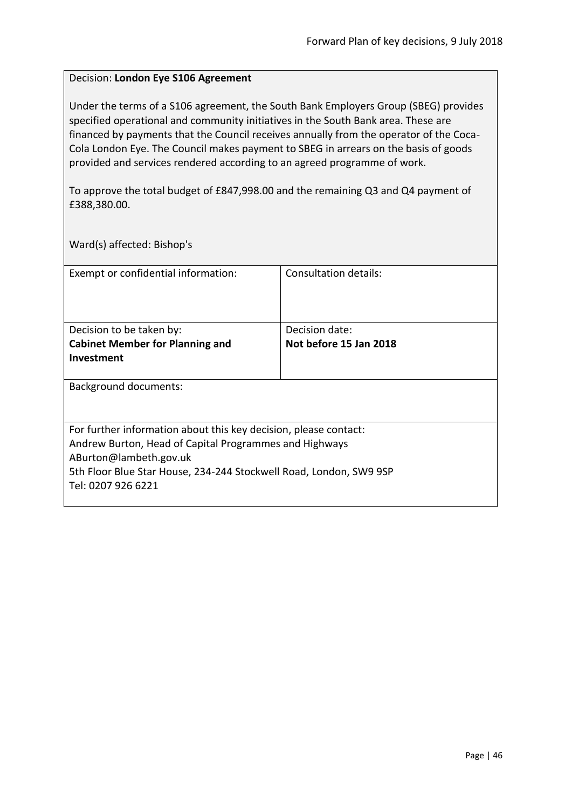#### <span id="page-45-0"></span>Decision: **London Eye S106 Agreement**

Under the terms of a S106 agreement, the South Bank Employers Group (SBEG) provides specified operational and community initiatives in the South Bank area. These are financed by payments that the Council receives annually from the operator of the Coca-Cola London Eye. The Council makes payment to SBEG in arrears on the basis of goods provided and services rendered according to an agreed programme of work.

To approve the total budget of £847,998.00 and the remaining Q3 and Q4 payment of £388,380.00.

Ward(s) affected: Bishop's

| Exempt or confidential information:                                | Consultation details:  |
|--------------------------------------------------------------------|------------------------|
| Decision to be taken by:                                           | Decision date:         |
| <b>Cabinet Member for Planning and</b>                             | Not before 15 Jan 2018 |
| Investment                                                         |                        |
| Background documents:                                              |                        |
| For further information about this key decision, please contact:   |                        |
| Andrew Burton, Head of Capital Programmes and Highways             |                        |
| ABurton@lambeth.gov.uk                                             |                        |
| 5th Floor Blue Star House, 234-244 Stockwell Road, London, SW9 9SP |                        |
| Tel: 0207 926 6221                                                 |                        |
|                                                                    |                        |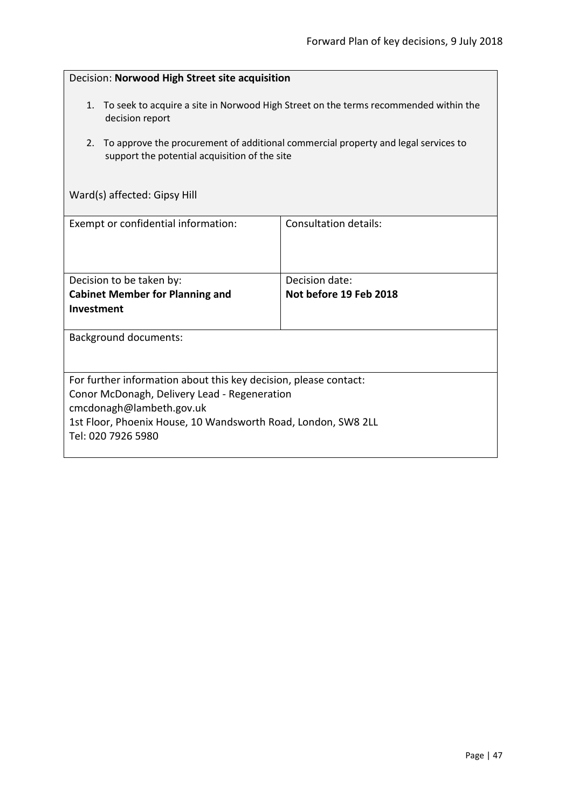<span id="page-46-0"></span>

| Decision: Norwood High Street site acquisition                                                                                                                                                                                      |                                          |  |
|-------------------------------------------------------------------------------------------------------------------------------------------------------------------------------------------------------------------------------------|------------------------------------------|--|
| 1. To seek to acquire a site in Norwood High Street on the terms recommended within the<br>decision report                                                                                                                          |                                          |  |
| To approve the procurement of additional commercial property and legal services to<br>2.<br>support the potential acquisition of the site                                                                                           |                                          |  |
| Ward(s) affected: Gipsy Hill                                                                                                                                                                                                        |                                          |  |
| Exempt or confidential information:                                                                                                                                                                                                 | <b>Consultation details:</b>             |  |
| Decision to be taken by:<br><b>Cabinet Member for Planning and</b><br>Investment                                                                                                                                                    | Decision date:<br>Not before 19 Feb 2018 |  |
| <b>Background documents:</b>                                                                                                                                                                                                        |                                          |  |
| For further information about this key decision, please contact:<br>Conor McDonagh, Delivery Lead - Regeneration<br>cmcdonagh@lambeth.gov.uk<br>1st Floor, Phoenix House, 10 Wandsworth Road, London, SW8 2LL<br>Tel: 020 7926 5980 |                                          |  |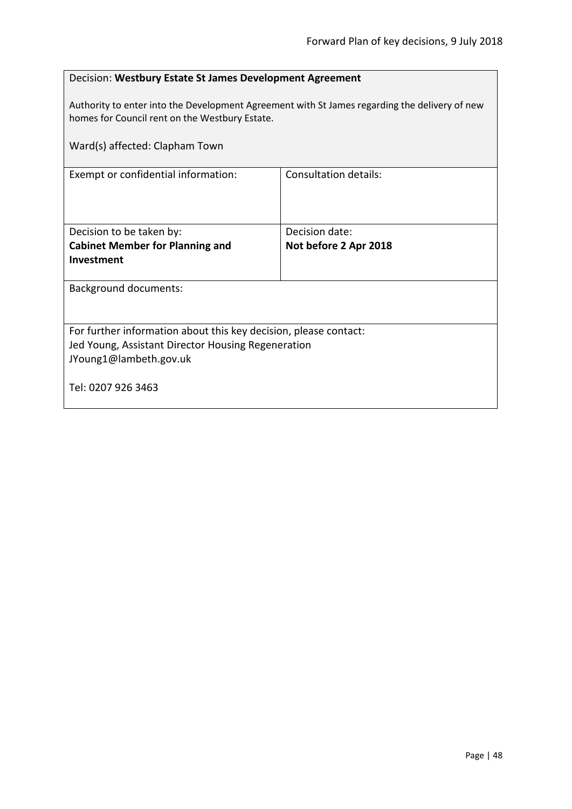<span id="page-47-0"></span>

| Decision: Westbury Estate St James Development Agreement                                                                                                                          |                       |  |
|-----------------------------------------------------------------------------------------------------------------------------------------------------------------------------------|-----------------------|--|
| Authority to enter into the Development Agreement with St James regarding the delivery of new<br>homes for Council rent on the Westbury Estate.<br>Ward(s) affected: Clapham Town |                       |  |
| Exempt or confidential information:                                                                                                                                               | Consultation details: |  |
|                                                                                                                                                                                   |                       |  |
| Decision to be taken by:                                                                                                                                                          | Decision date:        |  |
| <b>Cabinet Member for Planning and</b>                                                                                                                                            | Not before 2 Apr 2018 |  |
| Investment                                                                                                                                                                        |                       |  |
| <b>Background documents:</b>                                                                                                                                                      |                       |  |
|                                                                                                                                                                                   |                       |  |
| For further information about this key decision, please contact:                                                                                                                  |                       |  |
| Jed Young, Assistant Director Housing Regeneration                                                                                                                                |                       |  |
| JYoung1@lambeth.gov.uk                                                                                                                                                            |                       |  |
| Tel: 0207 926 3463                                                                                                                                                                |                       |  |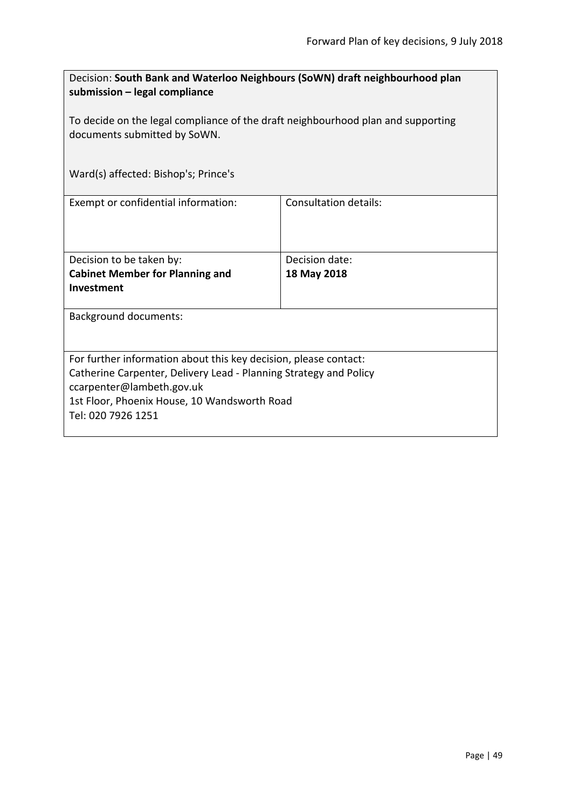<span id="page-48-0"></span>

| Decision: South Bank and Waterloo Neighbours (SoWN) draft neighbourhood plan<br>submission - legal compliance    |                              |  |
|------------------------------------------------------------------------------------------------------------------|------------------------------|--|
| To decide on the legal compliance of the draft neighbourhood plan and supporting<br>documents submitted by SoWN. |                              |  |
| Ward(s) affected: Bishop's; Prince's                                                                             |                              |  |
| Exempt or confidential information:                                                                              | <b>Consultation details:</b> |  |
| Decision to be taken by:                                                                                         | Decision date:               |  |
| <b>Cabinet Member for Planning and</b>                                                                           | 18 May 2018                  |  |
| Investment                                                                                                       |                              |  |
| <b>Background documents:</b>                                                                                     |                              |  |
| For further information about this key decision, please contact:                                                 |                              |  |
| Catherine Carpenter, Delivery Lead - Planning Strategy and Policy                                                |                              |  |
| ccarpenter@lambeth.gov.uk                                                                                        |                              |  |
| 1st Floor, Phoenix House, 10 Wandsworth Road                                                                     |                              |  |
| Tel: 020 7926 1251                                                                                               |                              |  |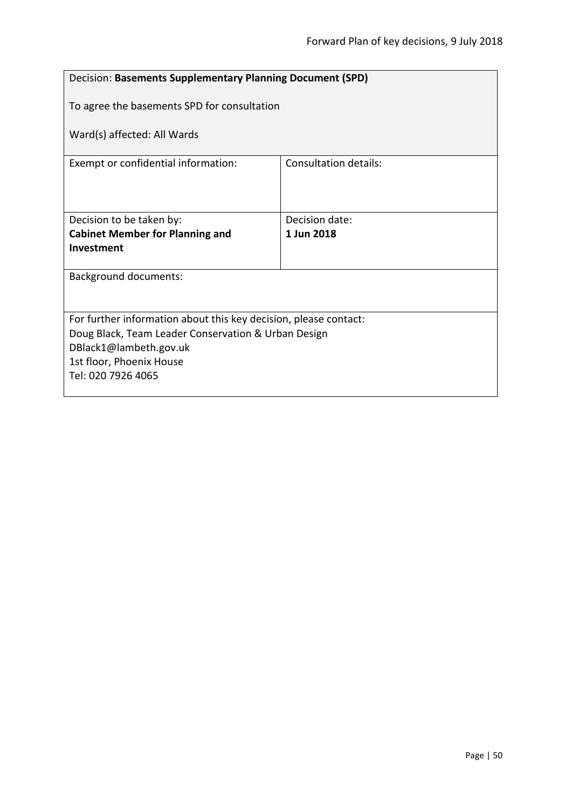<span id="page-49-0"></span>

| Decision: Basements Supplementary Planning Document (SPD)        |                                             |  |
|------------------------------------------------------------------|---------------------------------------------|--|
|                                                                  | To agree the basements SPD for consultation |  |
| Ward(s) affected: All Wards                                      |                                             |  |
| Exempt or confidential information:                              | <b>Consultation details:</b>                |  |
|                                                                  |                                             |  |
| Decision to be taken by:                                         | Decision date:                              |  |
| <b>Cabinet Member for Planning and</b>                           | 1 Jun 2018                                  |  |
| Investment                                                       |                                             |  |
| <b>Background documents:</b>                                     |                                             |  |
|                                                                  |                                             |  |
|                                                                  |                                             |  |
| For further information about this key decision, please contact: |                                             |  |
| Doug Black, Team Leader Conservation & Urban Design              |                                             |  |
| DBlack1@lambeth.gov.uk                                           |                                             |  |
| 1st floor, Phoenix House                                         |                                             |  |
| Tel: 020 7926 4065                                               |                                             |  |
|                                                                  |                                             |  |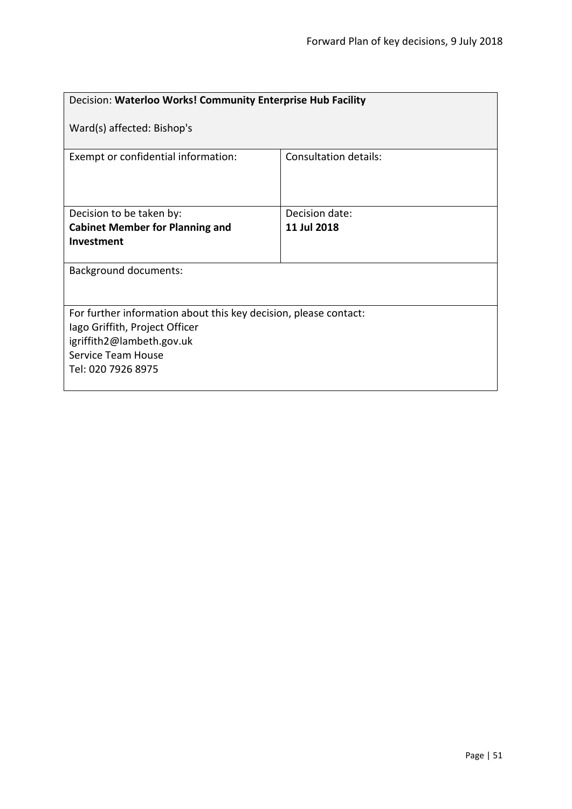<span id="page-50-0"></span>

| Decision: Waterloo Works! Community Enterprise Hub Facility                                                                                                                 |                       |  |
|-----------------------------------------------------------------------------------------------------------------------------------------------------------------------------|-----------------------|--|
| Ward(s) affected: Bishop's                                                                                                                                                  |                       |  |
| Exempt or confidential information:                                                                                                                                         | Consultation details: |  |
| Decision to be taken by:                                                                                                                                                    | Decision date:        |  |
| <b>Cabinet Member for Planning and</b>                                                                                                                                      | 11 Jul 2018           |  |
| Investment                                                                                                                                                                  |                       |  |
| <b>Background documents:</b>                                                                                                                                                |                       |  |
| For further information about this key decision, please contact:<br>lago Griffith, Project Officer<br>igriffith2@lambeth.gov.uk<br>Service Team House<br>Tel: 020 7926 8975 |                       |  |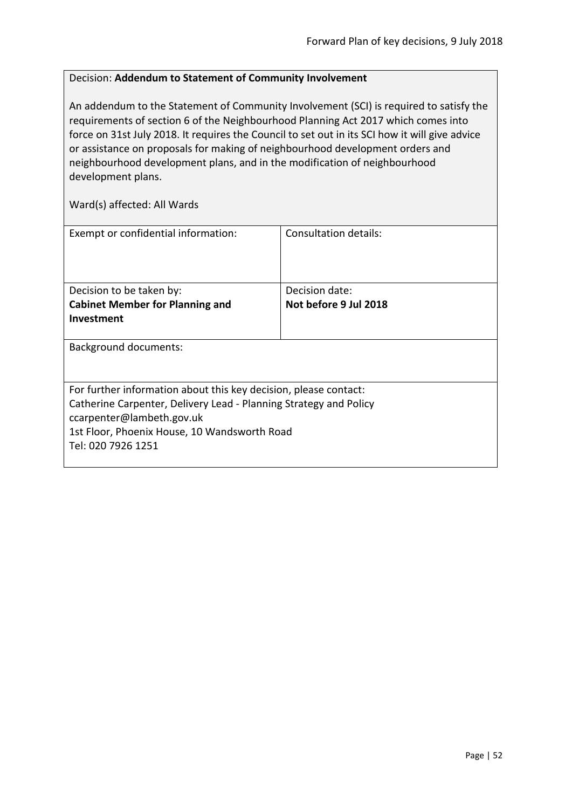#### <span id="page-51-0"></span>Decision: **Addendum to Statement of Community Involvement**

An addendum to the Statement of Community Involvement (SCI) is required to satisfy the requirements of section 6 of the Neighbourhood Planning Act 2017 which comes into force on 31st July 2018. It requires the Council to set out in its SCI how it will give advice or assistance on proposals for making of neighbourhood development orders and neighbourhood development plans, and in the modification of neighbourhood development plans.

| Exempt or confidential information:                               | Consultation details:                   |
|-------------------------------------------------------------------|-----------------------------------------|
| Decision to be taken by:                                          | Decision date:<br>Not before 9 Jul 2018 |
| <b>Cabinet Member for Planning and</b>                            |                                         |
| Investment                                                        |                                         |
| <b>Background documents:</b>                                      |                                         |
| For further information about this key decision, please contact:  |                                         |
|                                                                   |                                         |
| Catherine Carpenter, Delivery Lead - Planning Strategy and Policy |                                         |
| ccarpenter@lambeth.gov.uk                                         |                                         |
| 1st Floor, Phoenix House, 10 Wandsworth Road                      |                                         |
| Tel: 020 7926 1251                                                |                                         |
|                                                                   |                                         |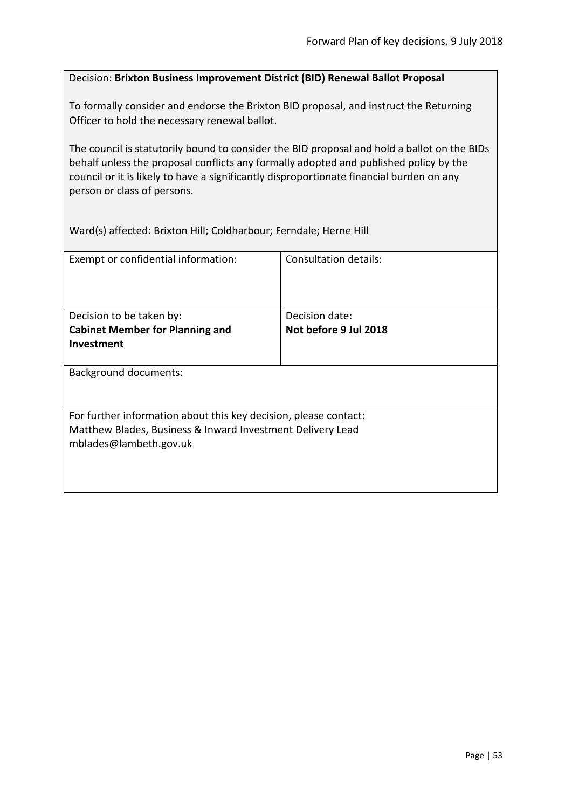#### <span id="page-52-0"></span>Decision: **Brixton Business Improvement District (BID) Renewal Ballot Proposal**

To formally consider and endorse the Brixton BID proposal, and instruct the Returning Officer to hold the necessary renewal ballot.

The council is statutorily bound to consider the BID proposal and hold a ballot on the BIDs behalf unless the proposal conflicts any formally adopted and published policy by the council or it is likely to have a significantly disproportionate financial burden on any person or class of persons.

Ward(s) affected: Brixton Hill; Coldharbour; Ferndale; Herne Hill

| Exempt or confidential information:                                                  | Consultation details: |  |
|--------------------------------------------------------------------------------------|-----------------------|--|
| Decision to be taken by:                                                             | Decision date:        |  |
| <b>Cabinet Member for Planning and</b>                                               | Not before 9 Jul 2018 |  |
| <b>Investment</b>                                                                    |                       |  |
|                                                                                      |                       |  |
| <b>Background documents:</b>                                                         |                       |  |
| For further information about this key decision, please contact:                     |                       |  |
| Matthew Blades, Business & Inward Investment Delivery Lead<br>mblades@lambeth.gov.uk |                       |  |
|                                                                                      |                       |  |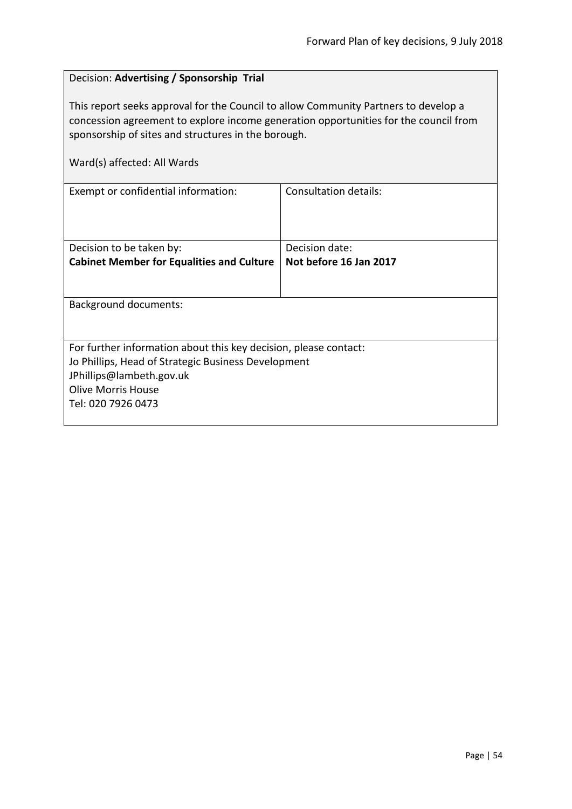#### <span id="page-53-0"></span>Decision: **Advertising / Sponsorship Trial**

This report seeks approval for the Council to allow Community Partners to develop a concession agreement to explore income generation opportunities for the council from sponsorship of sites and structures in the borough.

|  | Ward(s) affected: All Wards |  |  |
|--|-----------------------------|--|--|
|--|-----------------------------|--|--|

| Exempt or confidential information:                              | Consultation details:  |  |
|------------------------------------------------------------------|------------------------|--|
|                                                                  |                        |  |
| Decision to be taken by:                                         | Decision date:         |  |
| <b>Cabinet Member for Equalities and Culture</b>                 | Not before 16 Jan 2017 |  |
|                                                                  |                        |  |
| Background documents:                                            |                        |  |
|                                                                  |                        |  |
| For further information about this key decision, please contact: |                        |  |
| Jo Phillips, Head of Strategic Business Development              |                        |  |
| JPhillips@lambeth.gov.uk                                         |                        |  |
| <b>Olive Morris House</b>                                        |                        |  |
| Tel: 020 7926 0473                                               |                        |  |
|                                                                  |                        |  |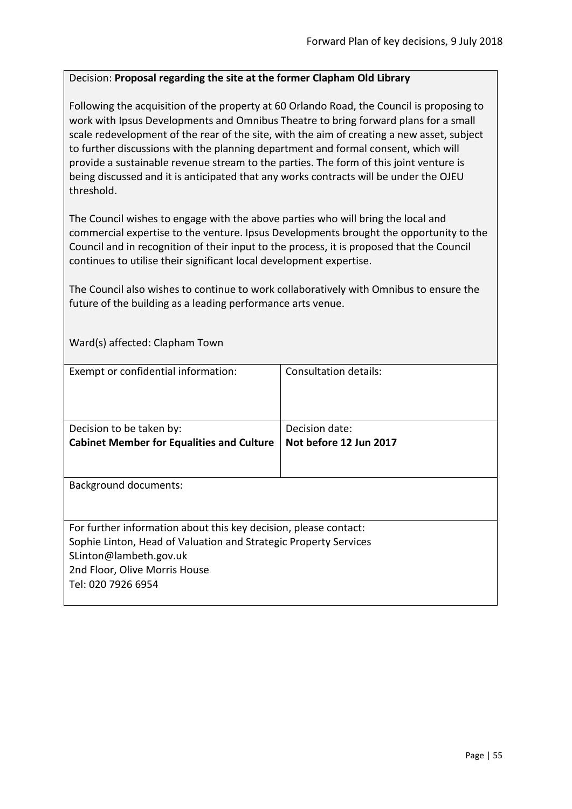#### <span id="page-54-0"></span>Decision: **Proposal regarding the site at the former Clapham Old Library**

Following the acquisition of the property at 60 Orlando Road, the Council is proposing to work with Ipsus Developments and Omnibus Theatre to bring forward plans for a small scale redevelopment of the rear of the site, with the aim of creating a new asset, subject to further discussions with the planning department and formal consent, which will provide a sustainable revenue stream to the parties. The form of this joint venture is being discussed and it is anticipated that any works contracts will be under the OJEU threshold.

The Council wishes to engage with the above parties who will bring the local and commercial expertise to the venture. Ipsus Developments brought the opportunity to the Council and in recognition of their input to the process, it is proposed that the Council continues to utilise their significant local development expertise.

The Council also wishes to continue to work collaboratively with Omnibus to ensure the future of the building as a leading performance arts venue.

Ward(s) affected: Clapham Town

| Exempt or confidential information:                              | Consultation details:  |
|------------------------------------------------------------------|------------------------|
|                                                                  |                        |
|                                                                  |                        |
|                                                                  |                        |
|                                                                  |                        |
| Decision to be taken by:                                         | Decision date:         |
| <b>Cabinet Member for Equalities and Culture</b>                 | Not before 12 Jun 2017 |
|                                                                  |                        |
|                                                                  |                        |
| <b>Background documents:</b>                                     |                        |
|                                                                  |                        |
|                                                                  |                        |
|                                                                  |                        |
| For further information about this key decision, please contact: |                        |
| Sophie Linton, Head of Valuation and Strategic Property Services |                        |
| SLinton@lambeth.gov.uk                                           |                        |
|                                                                  |                        |
| 2nd Floor, Olive Morris House                                    |                        |
| Tel: 020 7926 6954                                               |                        |
|                                                                  |                        |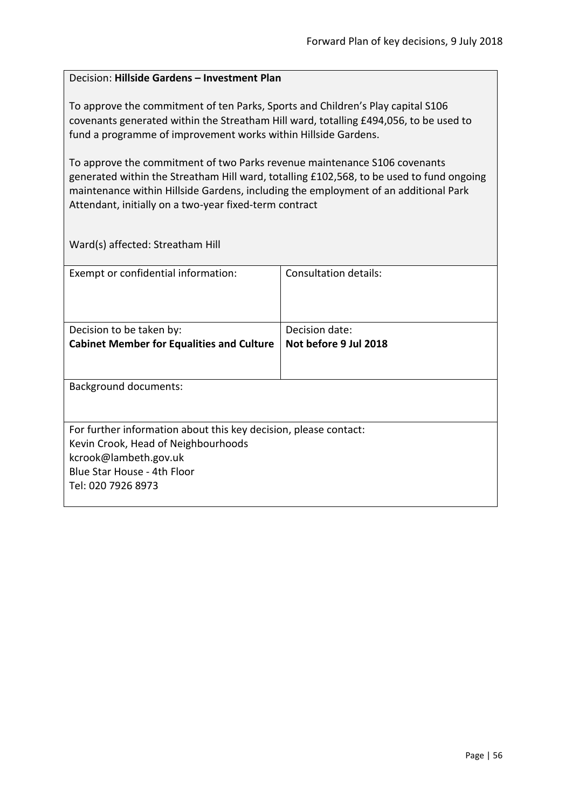#### <span id="page-55-0"></span>Decision: **Hillside Gardens – Investment Plan**

To approve the commitment of ten Parks, Sports and Children's Play capital S106 covenants generated within the Streatham Hill ward, totalling £494,056, to be used to fund a programme of improvement works within Hillside Gardens.

To approve the commitment of two Parks revenue maintenance S106 covenants generated within the Streatham Hill ward, totalling £102,568, to be used to fund ongoing maintenance within Hillside Gardens, including the employment of an additional Park Attendant, initially on a two-year fixed-term contract

Ward(s) affected: Streatham Hill

| Exempt or confidential information:                              | Consultation details: |  |
|------------------------------------------------------------------|-----------------------|--|
| Decision to be taken by:                                         | Decision date:        |  |
|                                                                  |                       |  |
| <b>Cabinet Member for Equalities and Culture</b>                 | Not before 9 Jul 2018 |  |
|                                                                  |                       |  |
| <b>Background documents:</b>                                     |                       |  |
|                                                                  |                       |  |
| For further information about this key decision, please contact: |                       |  |
| Kevin Crook, Head of Neighbourhoods                              |                       |  |
| kcrook@lambeth.gov.uk                                            |                       |  |
| Blue Star House - 4th Floor                                      |                       |  |
| Tel: 020 7926 8973                                               |                       |  |
|                                                                  |                       |  |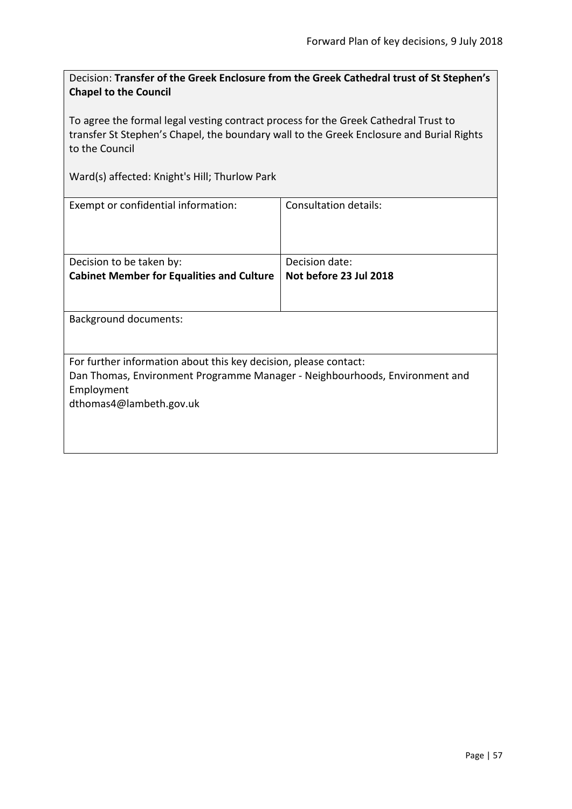<span id="page-56-0"></span>Decision: **Transfer of the Greek Enclosure from the Greek Cathedral trust of St Stephen's Chapel to the Council**

To agree the formal legal vesting contract process for the Greek Cathedral Trust to transfer St Stephen's Chapel, the boundary wall to the Greek Enclosure and Burial Rights to the Council

Ward(s) affected: Knight's Hill; Thurlow Park

| Exempt or confidential information:                                         | Consultation details:  |  |
|-----------------------------------------------------------------------------|------------------------|--|
| Decision to be taken by:                                                    | Decision date:         |  |
| <b>Cabinet Member for Equalities and Culture</b>                            | Not before 23 Jul 2018 |  |
| Background documents:                                                       |                        |  |
|                                                                             |                        |  |
| For further information about this key decision, please contact:            |                        |  |
| Dan Thomas, Environment Programme Manager - Neighbourhoods, Environment and |                        |  |
| Employment                                                                  |                        |  |
| dthomas4@lambeth.gov.uk                                                     |                        |  |
|                                                                             |                        |  |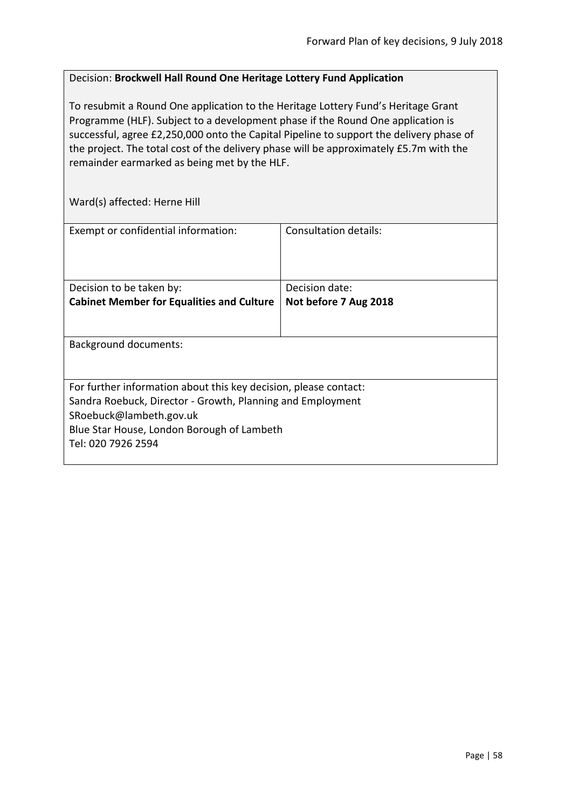#### <span id="page-57-0"></span>Decision: **Brockwell Hall Round One Heritage Lottery Fund Application**

To resubmit a Round One application to the Heritage Lottery Fund's Heritage Grant Programme (HLF). Subject to a development phase if the Round One application is successful, agree £2,250,000 onto the Capital Pipeline to support the delivery phase of the project. The total cost of the delivery phase will be approximately £5.7m with the remainder earmarked as being met by the HLF.

Ward(s) affected: Herne Hill

| Exempt or confidential information:                                                                                                                                                                                           | Consultation details:                   |
|-------------------------------------------------------------------------------------------------------------------------------------------------------------------------------------------------------------------------------|-----------------------------------------|
| Decision to be taken by:<br><b>Cabinet Member for Equalities and Culture</b>                                                                                                                                                  | Decision date:<br>Not before 7 Aug 2018 |
| <b>Background documents:</b>                                                                                                                                                                                                  |                                         |
| For further information about this key decision, please contact:<br>Sandra Roebuck, Director - Growth, Planning and Employment<br>SRoebuck@lambeth.gov.uk<br>Blue Star House, London Borough of Lambeth<br>Tel: 020 7926 2594 |                                         |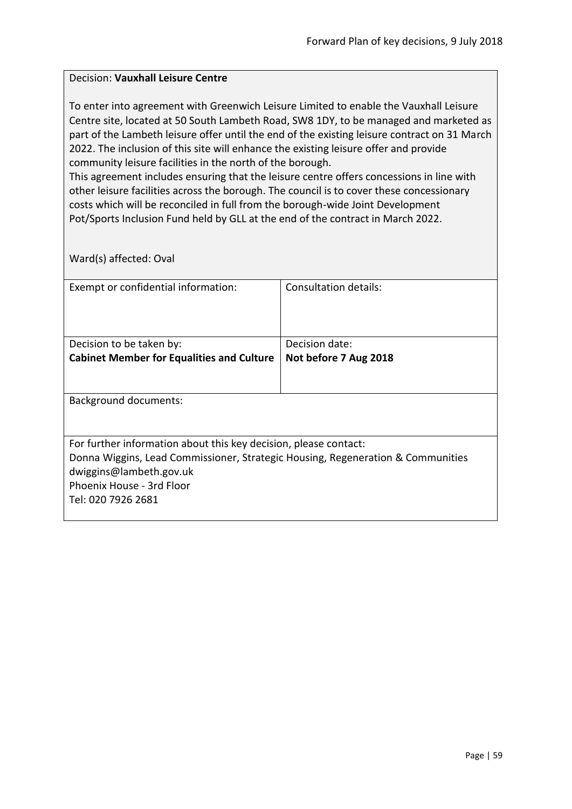#### <span id="page-58-0"></span>Decision: **Vauxhall Leisure Centre**

To enter into agreement with Greenwich Leisure Limited to enable the Vauxhall Leisure Centre site, located at 50 South Lambeth Road, SW8 1DY, to be managed and marketed as part of the Lambeth leisure offer until the end of the existing leisure contract on 31 March 2022. The inclusion of this site will enhance the existing leisure offer and provide community leisure facilities in the north of the borough.

This agreement includes ensuring that the leisure centre offers concessions in line with other leisure facilities across the borough. The council is to cover these concessionary costs which will be reconciled in full from the borough-wide Joint Development Pot/Sports Inclusion Fund held by GLL at the end of the contract in March 2022.

Ward(s) affected: Oval

| Exempt or confidential information:                                             | Consultation details: |  |
|---------------------------------------------------------------------------------|-----------------------|--|
|                                                                                 |                       |  |
| Decision to be taken by:                                                        | Decision date:        |  |
| <b>Cabinet Member for Equalities and Culture</b>                                | Not before 7 Aug 2018 |  |
|                                                                                 |                       |  |
| Background documents:                                                           |                       |  |
| For further information about this key decision, please contact:                |                       |  |
| Donna Wiggins, Lead Commissioner, Strategic Housing, Regeneration & Communities |                       |  |
| dwiggins@lambeth.gov.uk                                                         |                       |  |
| Phoenix House - 3rd Floor                                                       |                       |  |
| Tel: 020 7926 2681                                                              |                       |  |
|                                                                                 |                       |  |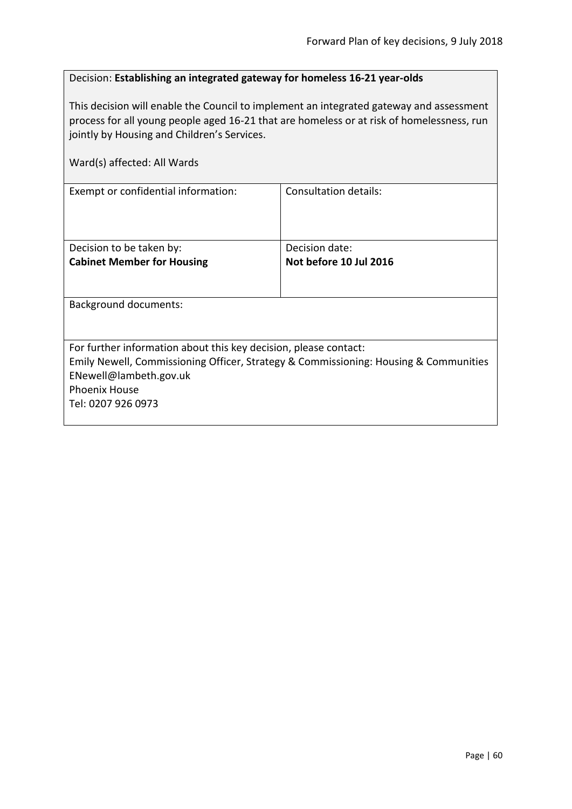#### <span id="page-59-0"></span>Decision: **Establishing an integrated gateway for homeless 16-21 year-olds**

This decision will enable the Council to implement an integrated gateway and assessment process for all young people aged 16-21 that are homeless or at risk of homelessness, run jointly by Housing and Children's Services.

| Ward(s) affected: All Wards                                                          |                              |  |
|--------------------------------------------------------------------------------------|------------------------------|--|
| Exempt or confidential information:                                                  | <b>Consultation details:</b> |  |
| Decision to be taken by:                                                             | Decision date:               |  |
| <b>Cabinet Member for Housing</b>                                                    | Not before 10 Jul 2016       |  |
| <b>Background documents:</b>                                                         |                              |  |
| For further information about this key decision, please contact:                     |                              |  |
| Emily Newell, Commissioning Officer, Strategy & Commissioning: Housing & Communities |                              |  |
| ENewell@lambeth.gov.uk                                                               |                              |  |
| <b>Phoenix House</b>                                                                 |                              |  |
| Tel: 0207 926 0973                                                                   |                              |  |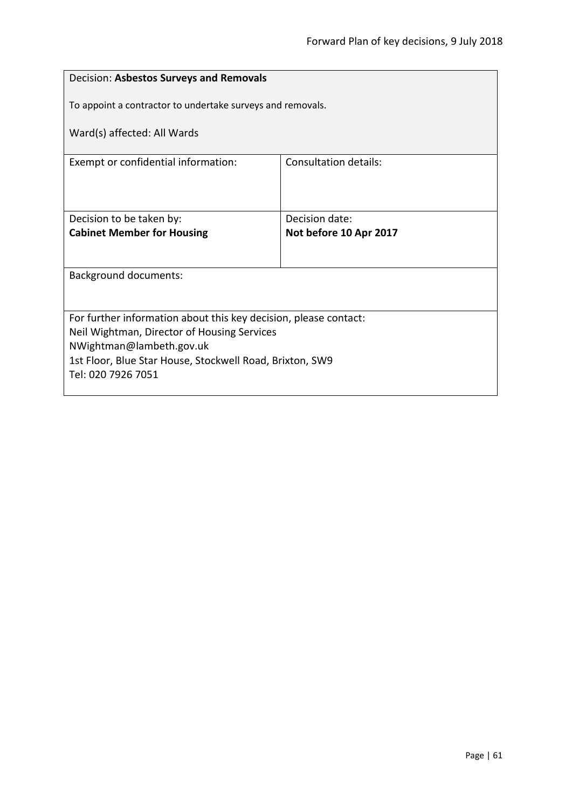<span id="page-60-0"></span>

| Decision: Asbestos Surveys and Removals                                 |                                          |  |
|-------------------------------------------------------------------------|------------------------------------------|--|
| To appoint a contractor to undertake surveys and removals.              |                                          |  |
| Ward(s) affected: All Wards                                             |                                          |  |
| Exempt or confidential information:                                     | <b>Consultation details:</b>             |  |
|                                                                         |                                          |  |
| Decision to be taken by:<br><b>Cabinet Member for Housing</b>           | Decision date:<br>Not before 10 Apr 2017 |  |
|                                                                         |                                          |  |
| <b>Background documents:</b>                                            |                                          |  |
|                                                                         |                                          |  |
| For further information about this key decision, please contact:        |                                          |  |
| Neil Wightman, Director of Housing Services<br>NWightman@lambeth.gov.uk |                                          |  |
| 1st Floor, Blue Star House, Stockwell Road, Brixton, SW9                |                                          |  |
| Tel: 020 7926 7051                                                      |                                          |  |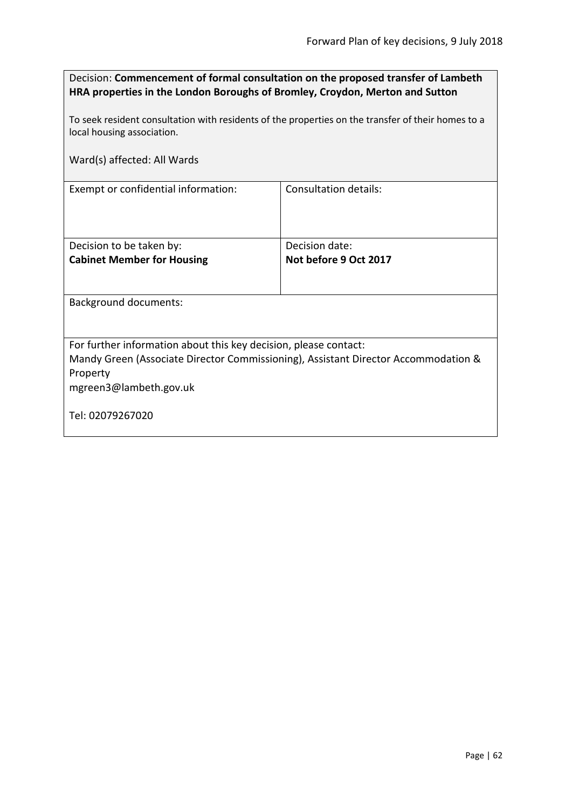<span id="page-61-0"></span>

| Decision: Commencement of formal consultation on the proposed transfer of Lambeth |
|-----------------------------------------------------------------------------------|
| HRA properties in the London Boroughs of Bromley, Croydon, Merton and Sutton      |

To seek resident consultation with residents of the properties on the transfer of their homes to a local housing association.

Ward(s) affected: All Wards

Exempt or confidential information: Consultation details:

| Decision to be taken by:          | Decision date:        |
|-----------------------------------|-----------------------|
| <b>Cabinet Member for Housing</b> | Not before 9 Oct 2017 |
|                                   |                       |
|                                   |                       |

Background documents:

For further information about this key decision, please contact:

Mandy Green (Associate Director Commissioning), Assistant Director Accommodation & Property

mgreen3@lambeth.gov.uk

Tel: 02079267020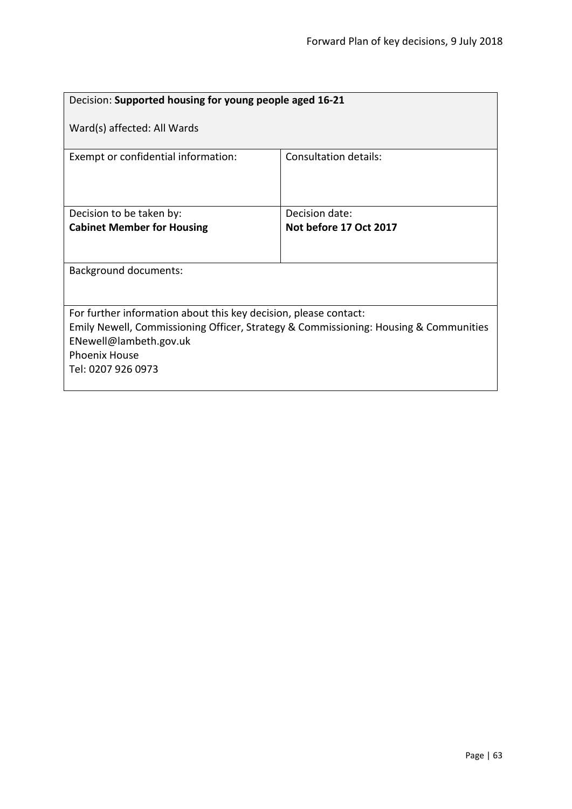<span id="page-62-0"></span>

| Decision: Supported housing for young people aged 16-21                              |                        |  |
|--------------------------------------------------------------------------------------|------------------------|--|
| Ward(s) affected: All Wards                                                          |                        |  |
| Exempt or confidential information:                                                  | Consultation details:  |  |
| Decision to be taken by:                                                             | Decision date:         |  |
| <b>Cabinet Member for Housing</b>                                                    | Not before 17 Oct 2017 |  |
|                                                                                      |                        |  |
| <b>Background documents:</b>                                                         |                        |  |
|                                                                                      |                        |  |
| For further information about this key decision, please contact:                     |                        |  |
| Emily Newell, Commissioning Officer, Strategy & Commissioning: Housing & Communities |                        |  |
| ENewell@lambeth.gov.uk                                                               |                        |  |
| <b>Phoenix House</b>                                                                 |                        |  |
| Tel: 0207 926 0973                                                                   |                        |  |
|                                                                                      |                        |  |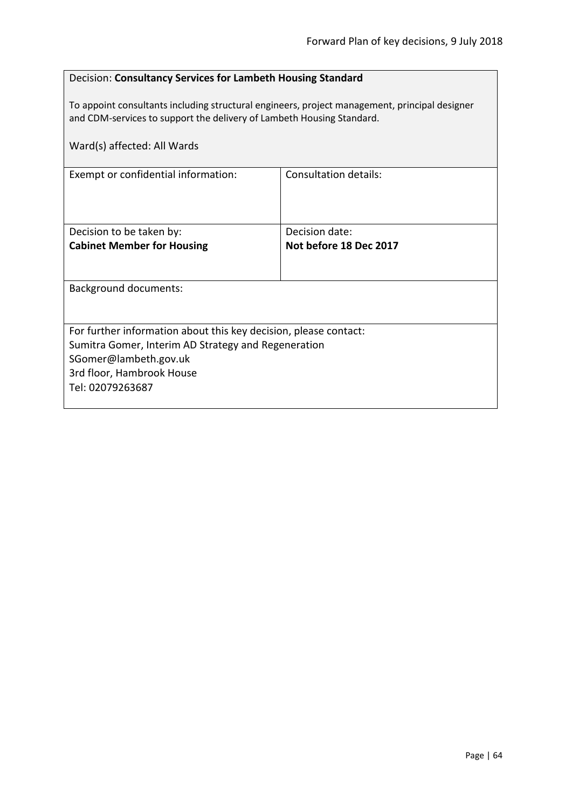#### <span id="page-63-0"></span>Decision: **Consultancy Services for Lambeth Housing Standard**

To appoint consultants including structural engineers, project management, principal designer and CDM-services to support the delivery of Lambeth Housing Standard.

| Ward(s) affected: All Wards                                                                                                                                                                       |                                          |  |
|---------------------------------------------------------------------------------------------------------------------------------------------------------------------------------------------------|------------------------------------------|--|
| Exempt or confidential information:                                                                                                                                                               | <b>Consultation details:</b>             |  |
| Decision to be taken by:<br><b>Cabinet Member for Housing</b>                                                                                                                                     | Decision date:<br>Not before 18 Dec 2017 |  |
| Background documents:                                                                                                                                                                             |                                          |  |
| For further information about this key decision, please contact:<br>Sumitra Gomer, Interim AD Strategy and Regeneration<br>SGomer@lambeth.gov.uk<br>3rd floor, Hambrook House<br>Tel: 02079263687 |                                          |  |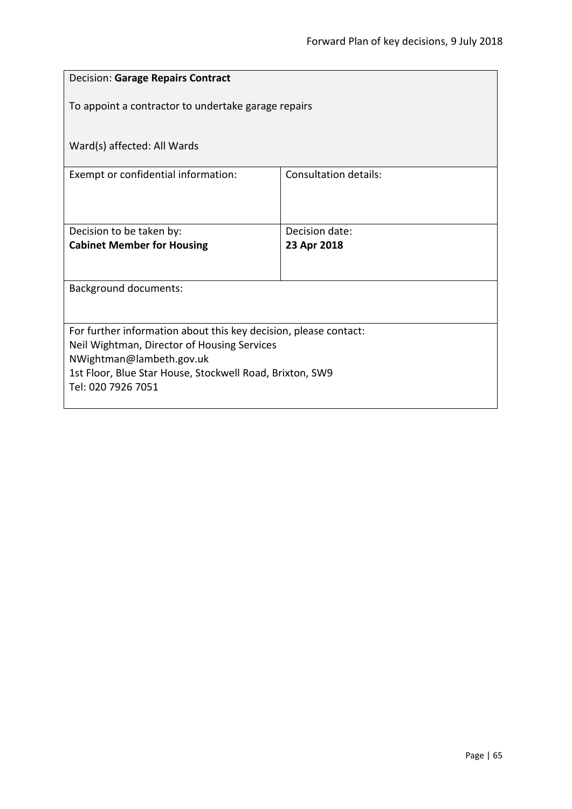<span id="page-64-0"></span>

| <b>Decision: Garage Repairs Contract</b>                                                                        |                              |  |
|-----------------------------------------------------------------------------------------------------------------|------------------------------|--|
| To appoint a contractor to undertake garage repairs                                                             |                              |  |
|                                                                                                                 |                              |  |
| Ward(s) affected: All Wards                                                                                     |                              |  |
| Exempt or confidential information:                                                                             | <b>Consultation details:</b> |  |
|                                                                                                                 |                              |  |
| Decision to be taken by:                                                                                        | Decision date:               |  |
| <b>Cabinet Member for Housing</b>                                                                               | 23 Apr 2018                  |  |
|                                                                                                                 |                              |  |
| <b>Background documents:</b>                                                                                    |                              |  |
|                                                                                                                 |                              |  |
| For further information about this key decision, please contact:<br>Neil Wightman, Director of Housing Services |                              |  |
| NWightman@lambeth.gov.uk                                                                                        |                              |  |
| 1st Floor, Blue Star House, Stockwell Road, Brixton, SW9<br>Tel: 020 7926 7051                                  |                              |  |
|                                                                                                                 |                              |  |